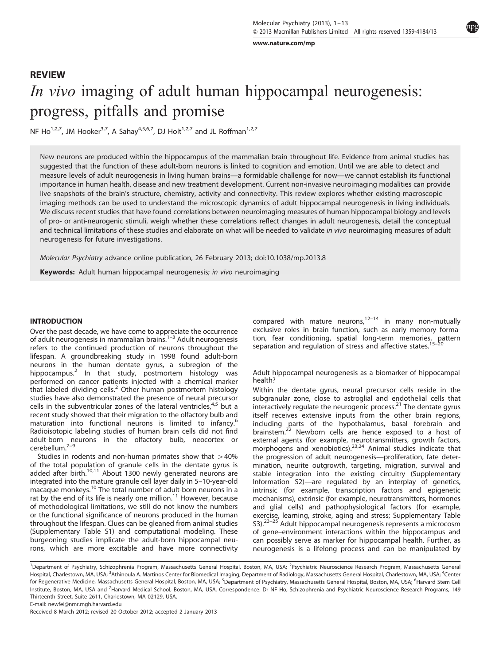[www.nature.com/mp](http://www.nature.com/mp)

# REVIEW

# In vivo imaging of adult human hippocampal neurogenesis: progress, pitfalls and promise

NF Ho<sup>1,2,7</sup>, JM Hooker<sup>3,7</sup>, A Sahay<sup>4,5,6,7</sup>, DJ Holt<sup>1,2,7</sup> and JL Roffman<sup>1,2,7</sup>

New neurons are produced within the hippocampus of the mammalian brain throughout life. Evidence from animal studies has suggested that the function of these adult-born neurons is linked to cognition and emotion. Until we are able to detect and measure levels of adult neurogenesis in living human brains—a formidable challenge for now—we cannot establish its functional importance in human health, disease and new treatment development. Current non-invasive neuroimaging modalities can provide live snapshots of the brain's structure, chemistry, activity and connectivity. This review explores whether existing macroscopic imaging methods can be used to understand the microscopic dynamics of adult hippocampal neurogenesis in living individuals. We discuss recent studies that have found correlations between neuroimaging measures of human hippocampal biology and levels of pro- or anti-neurogenic stimuli, weigh whether these correlations reflect changes in adult neurogenesis, detail the conceptual and technical limitations of these studies and elaborate on what will be needed to validate in vivo neuroimaging measures of adult neurogenesis for future investigations.

Molecular Psychiatry advance online publication, 26 February 2013; doi:[10.1038/mp.2013.8](http://dx.doi.org/10.1038/mp.2013.8)

Keywords: Adult human hippocampal neurogenesis; in vivo neuroimaging

#### **INTRODUCTION**

Over the past decade, we have come to appreciate the occurrence of adult neurogenesis in mammalian brains.[1–3](#page-9-0) Adult neurogenesis refers to the continued production of neurons throughout the lifespan. A groundbreaking study in 1998 found adult-born neurons in the human dentate gyrus, a subregion of the hippocampus.<sup>[2](#page-9-0)</sup> In that study, postmortem histology was performed on cancer patients injected with a chemical marker that labeled dividing cells.<sup>[2](#page-9-0)</sup> Other human postmortem histology studies have also demonstrated the presence of neural precursor cells in the subventricular zones of the lateral ventricles, $4.5$  but a recent study showed that their migration to the olfactory bulb and maturation into functional neurons is limited to infancy.<sup>[6](#page-9-0)</sup> Radioisotopic labeling studies of human brain cells did not find adult-born neurons in the olfactory bulb, neocortex or<br>cerebellum.<sup>[7–9](#page-9-0)</sup>

Studies in rodents and non-human primates show that  $>40\%$ of the total population of granule cells in the dentate gyrus is added after  $\frac{10,11}{2}$  $\frac{10,11}{2}$  $\frac{10,11}{2}$  About 1300 newly generated neurons are integrated into the mature granule cell layer daily in 5–[10](#page-9-0)-year-old<br>macaque monkeys.<sup>10</sup> The total number of adult-born neurons in a rat by the end of its life is nearly one million.<sup>[11](#page-9-0)</sup> However, because of methodological limitations, we still do not know the numbers or the functional significance of neurons produced in the human throughout the lifespan. Clues can be gleaned from animal studies (Supplementary Table S1) and computational modeling. These burgeoning studies implicate the adult-born hippocampal neurons, which are more excitable and have more connectivity

compared with mature neurons, $12-14$  in many non-mutually exclusive roles in brain function, such as early memory formation, fear conditioning, spatial long-term memories, pattern separation and regulation of stress and affective states.

Adult hippocampal neurogenesis as a biomarker of hippocampal health?

Within the dentate gyrus, neural precursor cells reside in the subgranular zone, close to astroglial and endothelial cells that interactively regulate the neurogenic process. $^{21}$  $^{21}$  $^{21}$  The dentate gyrus itself receives extensive inputs from the other brain regions, including parts of the hypothalamus, basal forebrain and brainstem.[22](#page-9-0) Newborn cells are hence exposed to a host of external agents (for example, neurotransmitters, growth factors, morphogens and xenobiotics).[23,24](#page-9-0) Animal studies indicate that the progression of adult neurogenesis—proliferation, fate determination, neurite outgrowth, targeting, migration, survival and stable integration into the existing circuitry (Supplementary Information S2)—are regulated by an interplay of genetics, intrinsic (for example, transcription factors and epigenetic mechanisms), extrinsic (for example, neurotransmitters, hormones and glial cells) and pathophysiological factors (for example, exercise, learning, stroke, aging and stress; Supplementary Table S3).<sup>[23–25](#page-9-0)</sup> Adult hippocampal neurogenesis represents a microcosm of gene–environment interactions within the hippocampus and can possibly serve as marker for hippocampal health. Further, as neurogenesis is a lifelong process and can be manipulated by

<sup>1</sup>Department of Psychiatry, Schizophrenia Program, Massachusetts General Hospital, Boston, MA, USA; <sup>2</sup>Psychiatric Neuroscience Research Program, Massachusetts General Hospital, Charlestown, MA, USA; <sup>3</sup>Athinoula A. Martinos Center for Biomedical Imaging, Department of Radiology, Massachusetts General Hospital, Charlestown, MA, USA; <sup>4</sup>Center for Regenerative Medicine, Massachusetts General Hospital, Boston, MA, USA; <sup>5</sup>Department of Psychiatry, Massachusetts General Hospital, Boston, MA, USA; <sup>6</sup>Harvard Stem Cell Institute, Boston, MA, USA and <sup>7</sup>Harvard Medical School, Boston, MA, USA. Correspondence: Dr NF Ho, Schizophrenia and Psychiatric Neuroscience Research Programs, 149 Thirteenth Street, Suite 2611, Charlestown, MA 02129, USA.

E-mail: [newfei@nmr.mgh.harvard.edu](mailto:newfei@nmr.mgh.harvard.edu)

Received 8 March 2012; revised 20 October 2012; accepted 2 January 2013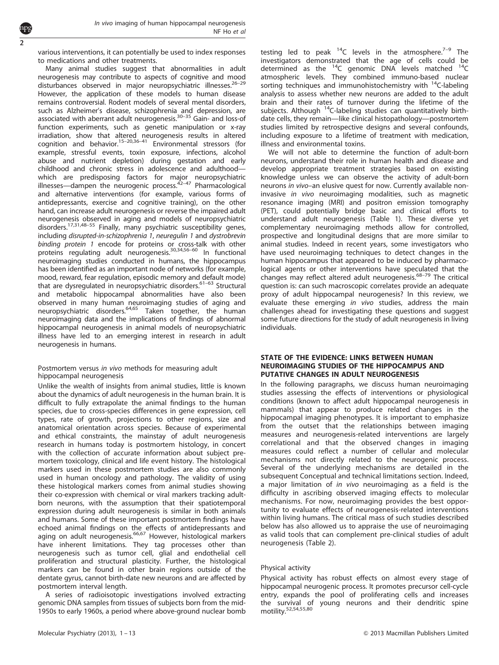various interventions, it can potentially be used to index responses to medications and other treatments.

Many animal studies suggest that abnormalities in adult neurogenesis may contribute to aspects of cognitive and mood disturbances observed in major neuropsychiatric illnesses.<sup>26-29</sup> However, the application of these models to human disease remains controversial. Rodent models of several mental disorders, such as Alzheimer's disease, schizophrenia and depression, are associated with aberrant adult neurogenesis[.30–35](#page-9-0) Gain- and loss-of function experiments, such as genetic manipulation or x-ray irradiation, show that altered neurogenesis results in altered cognition and behavior[.15–20,36–41](#page-9-0) Environmental stressors (for example, stressful events, toxin exposure, infections, alcohol abuse and nutrient depletion) during gestation and early childhood and chronic stress in adolescence and adulthood— which are predisposing factors for major neuropsychiatric<br>illnesses—dampen-the-neurogenic-process.<sup>[42–47](#page-10-0)</sup> Pharmacological and alternative interventions (for example, various forms of antidepressants, exercise and cognitive training), on the other hand, can increase adult neurogenesis or reverse the impaired adult neurogenesis observed in aging and models of neuropsychiatric disorders.[17,31,48–55](#page-9-0) Finally, many psychiatric susceptibility genes, including disrupted-in-schizophrenia 1, neuregulin 1 and dystrobrevin binding protein 1 encode for proteins or cross-talk with other<br>proteins regulating adult neurogenesis.<sup>30,34,56–60</sup> ln functional neuroimaging studies conducted in humans, the hippocampus has been identified as an important node of networks (for example, mood, reward, fear regulation, episodic memory and default mode) that are dysregulated in neuropsychiatric disorders.<sup>61–63</sup> Structural and metabolic hippocampal abnormalities have also been observed in many human neuroimaging studies of aging and neuropsychiatric disorders.<sup>64,65</sup> Taken together, the human neuroimaging data and the implications of findings of abnormal hippocampal neurogenesis in animal models of neuropsychiatric illness have led to an emerging interest in research in adult neurogenesis in humans.

#### Postmortem versus in vivo methods for measuring adult hippocampal neurogenesis

Unlike the wealth of insights from animal studies, little is known about the dynamics of adult neurogenesis in the human brain. It is difficult to fully extrapolate the animal findings to the human species, due to cross-species differences in gene expression, cell types, rate of growth, projections to other regions, size and anatomical orientation across species. Because of experimental and ethical constraints, the mainstay of adult neurogenesis research in humans today is postmortem histology, in concert with the collection of accurate information about subject premortem toxicology, clinical and life event history. The histological markers used in these postmortem studies are also commonly used in human oncology and pathology. The validity of using these histological markers comes from animal studies showing their co-expression with chemical or viral markers tracking adultborn neurons, with the assumption that their spatiotemporal expression during adult neurogenesis is similar in both animals and humans. Some of these important postmortem findings have echoed animal findings on the effects of antidepressants and<br>aging on adult neurogenesis.<sup>[66,67](#page-10-0)</sup> However, histological markers have inherent limitations. They tag processes other than neurogenesis such as tumor cell, glial and endothelial cell proliferation and structural plasticity. Further, the histological markers can be found in other brain regions outside of the dentate gyrus, cannot birth-date new neurons and are affected by postmortem interval length.

A series of radioisotopic investigations involved extracting genomic DNA samples from tissues of subjects born from the mid-1950s to early 1960s, a period where above-ground nuclear bomb testing led to peak  $^{14}$ C levels in the atmosphere.<sup>7-9</sup> The investigators demonstrated that the age of cells could be determined as the  $^{14}$ C genomic DNA levels matched  $^{14}$ C atmospheric levels. They combined immuno-based nuclear sorting techniques and immunohistochemistry with  $14C$ -labeling analysis to assess whether new neurons are added to the adult brain and their rates of turnover during the lifetime of the subjects. Although  $14C$ -labeling studies can quantitatively birthdate cells, they remain—like clinical histopathology—postmortem studies limited by retrospective designs and several confounds, including exposure to a lifetime of treatment with medication, illness and environmental toxins.

We will not able to determine the function of adult-born neurons, understand their role in human health and disease and develop appropriate treatment strategies based on existing knowledge unless we can observe the activity of adult-born neurons in vivo–an elusive quest for now. Currently available noninvasive in vivo neuroimaging modalities, such as magnetic resonance imaging (MRI) and positron emission tomography (PET), could potentially bridge basic and clinical efforts to understand adult neurogenesis ([Table 1\)](#page-2-0). These diverse yet complementary neuroimaging methods allow for controlled, prospective and longitudinal designs that are more similar to animal studies. Indeed in recent years, some investigators who have used neuroimaging techniques to detect changes in the human hippocampus that appeared to be induced by pharmacological agents or other interventions have speculated that the changes may reflect altered adult neurogenesis.<sup>68-79</sup> The critical question is: can such macroscopic correlates provide an adequate proxy of adult hippocampal neurogenesis? In this review, we evaluate these emerging in vivo studies, address the main challenges ahead for investigating these questions and suggest some future directions for the study of adult neurogenesis in living individuals.

#### STATE OF THE EVIDENCE: LINKS BETWEEN HUMAN NEUROIMAGING STUDIES OF THE HIPPOCAMPUS AND PUTATIVE CHANGES IN ADULT NEUROGENESIS

In the following paragraphs, we discuss human neuroimaging studies assessing the effects of interventions or physiological conditions (known to affect adult hippocampal neurogenesis in mammals) that appear to produce related changes in the hippocampal imaging phenotypes. It is important to emphasize from the outset that the relationships between imaging measures and neurogenesis-related interventions are largely correlational and that the observed changes in imaging measures could reflect a number of cellular and molecular mechanisms not directly related to the neurogenic process. Several of the underlying mechanisms are detailed in the subsequent Conceptual and technical limitations section. Indeed, a major limitation of in vivo neuroimaging as a field is the difficulty in ascribing observed imaging effects to molecular mechanisms. For now, neuroimaging provides the best opportunity to evaluate effects of neurogenesis-related interventions within living humans. The critical mass of such studies described below has also allowed us to appraise the use of neuroimaging as valid tools that can complement pre-clinical studies of adult neurogenesis ([Table 2](#page-3-0)).

# Physical activity

Physical activity has robust effects on almost every stage of hippocampal neurogenic process. It promotes precursor cell-cycle entry, expands the pool of proliferating cells and increases the survival of young neurons and their dendritic spine motility.[52,54,55,80](#page-10-0)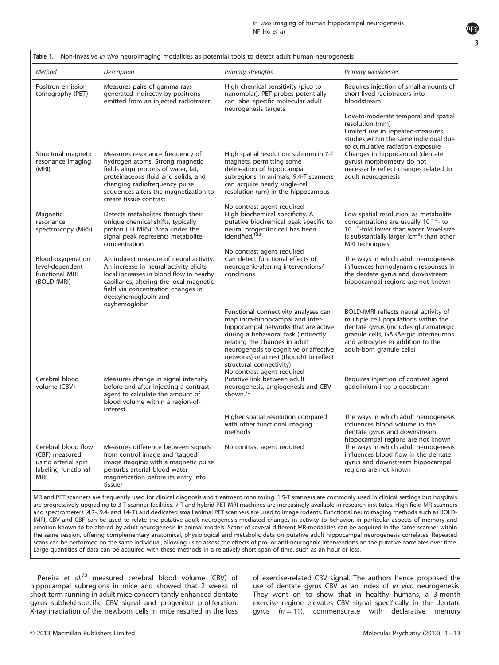<span id="page-2-0"></span>

| <b>Table 1.</b> Non-invasive in vivo neuroimaging modalities as potential tools to detect adult human neurogenesis                                                                                                                                   |                                                                                                                                                                                                                                                                                                             |                                                                                                                                                                                                                                   |  |  |
|------------------------------------------------------------------------------------------------------------------------------------------------------------------------------------------------------------------------------------------------------|-------------------------------------------------------------------------------------------------------------------------------------------------------------------------------------------------------------------------------------------------------------------------------------------------------------|-----------------------------------------------------------------------------------------------------------------------------------------------------------------------------------------------------------------------------------|--|--|
| Description                                                                                                                                                                                                                                          | Primary strengths                                                                                                                                                                                                                                                                                           | Primary weaknesses                                                                                                                                                                                                                |  |  |
| Measures pairs of gamma rays<br>generated indirectly by positrons<br>emitted from an injected radiotracer                                                                                                                                            | High chemical sensitivity (pico to<br>nanomolar). PET probes potentially<br>can label specific molecular adult                                                                                                                                                                                              | Requires injection of small amounts of<br>short-lived radiotracers into<br>bloodstream                                                                                                                                            |  |  |
|                                                                                                                                                                                                                                                      |                                                                                                                                                                                                                                                                                                             | Low-to-moderate temporal and spatial<br>resolution (mm)<br>Limited use in repeated-measures<br>studies within the same individual due<br>to cumulative radiation exposure                                                         |  |  |
| Measures resonance frequency of<br>hydrogen atoms. Strong magnetic<br>fields align protons of water, fat,<br>proteinaceous fluid and solids, and<br>changing radiofrequency pulse<br>sequences alters the magnetization to<br>create tissue contrast | High spatial resolution: sub-mm in 7-T<br>magnets, permitting some<br>delineation of hippocampal<br>subregions. In animals, 9.4-T scanners<br>can acquire nearly single-cell<br>resolution ( $\mu$ m) in the hippocampus                                                                                    | Changes in hippocampal (dentate<br>gyrus) morphometry do not<br>necessarily reflect changes related to<br>adult neurogenesis                                                                                                      |  |  |
| Detects metabolites through their<br>unique chemical shifts, typically<br>proton $(^1H$ MRS). Area under the<br>signal peak represents metabolite<br>concentration                                                                                   | No contrast agent required<br>High biochemical specificity. A<br>putative biochemical peak specific to<br>neural progenitor cell has been<br>identified. <sup>122</sup>                                                                                                                                     | Low spatial resolution, as metabolite<br>concentrations are usually $10^{-5}$ - to<br>$10^{-6}$ -fold lower than water. Voxel size<br>is substantially larger (cm <sup>3</sup> ) than other<br>MRI techniques                     |  |  |
| An indirect measure of neural activity.<br>An increase in neural activity elicits<br>local increases in blood flow in nearby<br>capillaries, altering the local magnetic<br>field via concentration changes in<br>deoxyhemoglobin and                | No contrast agent required<br>Can detect functional effects of<br>neurogenic-altering interventions/<br>conditions                                                                                                                                                                                          | The ways in which adult neurogenesis<br>influences hemodynamic responses in<br>the dentate gyrus and downstream<br>hippocampal regions are not known                                                                              |  |  |
|                                                                                                                                                                                                                                                      | Functional connectivity analyses can<br>map intra-hippocampal and inter-<br>hippocampal networks that are active<br>during a behavioral task (indirectly<br>relating the changes in adult<br>neurogenesis to cognitive or affective<br>networks) or at rest (thought to reflect<br>structural connectivity) | BOLD-fMRI reflects neural activity of<br>multiple cell populations within the<br>dentate gyrus (includes glutamatergic<br>granule cells, GABAergic interneurons<br>and astrocytes in addition to the<br>adult-born granule cells) |  |  |
| Measures change in signal intensity<br>before and after injecting a contrast<br>agent to calculate the amount of<br>blood volume within a region-of-                                                                                                 | Putative link between adult<br>neurogenesis, angiogenesis and CBV<br>shown. <sup>73</sup>                                                                                                                                                                                                                   | Requires injection of contrast agent<br>gadolinium into bloodstream                                                                                                                                                               |  |  |
|                                                                                                                                                                                                                                                      | Higher spatial resolution compared<br>with other functional imaging<br>methods                                                                                                                                                                                                                              | The ways in which adult neurogenesis<br>influences blood volume in the<br>dentate gyrus and downstream                                                                                                                            |  |  |
| Measures difference between signals<br>from control image and 'tagged'<br>image (tagging with a magnetic pulse<br>perturbs arterial blood water<br>magnetization before its entry into<br>tissue)                                                    | No contrast agent required                                                                                                                                                                                                                                                                                  | hippocampal regions are not known<br>The ways in which adult neurogenesis<br>influences blood flow in the dentate<br>gyrus and downstream hippocampal<br>regions are not known                                                    |  |  |
|                                                                                                                                                                                                                                                      | oxyhemoglobin<br>interest                                                                                                                                                                                                                                                                                   | neurogenesis targets<br>No contrast agent required                                                                                                                                                                                |  |  |

MR and PET scanners are frequently used for clinical diagnosis and treatment monitoring. 1.5-T scanners are commonly used in clinical settings but hospitals are progressively upgrading to 3-T scanner facilities. 7-T and hybrid PET-MRI machines are increasingly available in research institutes. High-field MR scanners and spectrometers (4.7-, 9.4- and 14- T) and dedicated small animal PET scanners are used to image rodents. Functional neuroimaging methods such as BOLDfMRI, CBV and CBF can be used to relate the putative adult neurogenesis-mediated changes in activity to behavior, in particular aspects of memory and emotion known to be altered by adult neurogenesis in animal models. Scans of several different MR-modalities can be acquired in the same scanner within the same session, offering complementary anatomical, physiological and metabolic data on putative adult hippocampal neurogenesis correlates. Repeated scans can be performed on the same individual, allowing us to assess the effects of pro- or anti-neurogenic interventions on the putative correlates over time. Large quantities of data can be acquired with these methods in a relatively short span of time, such as an hour or less.

Pereira et  $al^{73}$  $al^{73}$  $al^{73}$  measured cerebral blood volume (CBV) of hippocampal subregions in mice and showed that 2 weeks of short-term running in adult mice concomitantly enhanced dentate gyrus subfield-specific CBV signal and progenitor proliferation. X-ray irradiation of the newborn cells in mice resulted in the loss

of exercise-related CBV signal. The authors hence proposed the use of dentate gyrus CBV as an index of in vivo neurogenesis. They went on to show that in healthy humans, a 3-month exercise regime elevates CBV signal specifically in the dentate gyrus  $(n = 11)$ , commensurate with declarative memory

3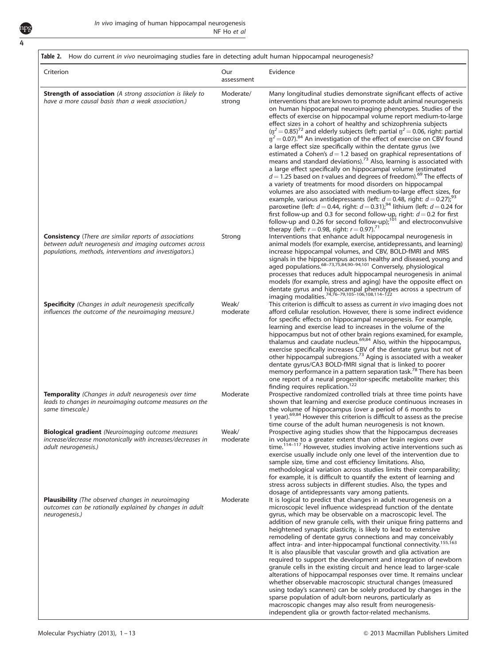<span id="page-3-0"></span>

4

| Criterion                                                                                                                                                                          | Our<br>assessment   | Evidence                                                                                                                                                                                                                                                                                                                                                                                                                                                                                                                                                                                                                                                                                                                                                                                                                                                                                                                                                                                                                                                                                                                                                                                                                                                                                                                                                                                                                                                                        |
|------------------------------------------------------------------------------------------------------------------------------------------------------------------------------------|---------------------|---------------------------------------------------------------------------------------------------------------------------------------------------------------------------------------------------------------------------------------------------------------------------------------------------------------------------------------------------------------------------------------------------------------------------------------------------------------------------------------------------------------------------------------------------------------------------------------------------------------------------------------------------------------------------------------------------------------------------------------------------------------------------------------------------------------------------------------------------------------------------------------------------------------------------------------------------------------------------------------------------------------------------------------------------------------------------------------------------------------------------------------------------------------------------------------------------------------------------------------------------------------------------------------------------------------------------------------------------------------------------------------------------------------------------------------------------------------------------------|
| <b>Strength of association</b> (A strong association is likely to<br>have a more causal basis than a weak association.)                                                            | Moderate/<br>strong | Many longitudinal studies demonstrate significant effects of active<br>interventions that are known to promote adult animal neurogenesis<br>on human hippocampal neuroimaging phenotypes. Studies of the<br>effects of exercise on hippocampal volume report medium-to-large<br>effect sizes in a cohort of healthy and schizophrenia subjects<br>$(n^2 = 0.85)^{72}$ and elderly subjects (left: partial $n^2 = 0.06$ , right: partial $n^2 = 0.07$ ). <sup>84</sup> An investigation of the effect of exercise on CBV found<br>a large effect size specifically within the dentate gyrus (we<br>estimated a Cohen's $d = 1.2$ based on graphical representations of<br>means and standard deviations). <sup>73</sup> Also, learning is associated with<br>a large effect specifically on hippocampal volume (estimated<br>$d = 1.25$ based on t-values and degrees of freedom). <sup>69</sup> The effects of<br>a variety of treatments for mood disorders on hippocampal<br>volumes are also associated with medium-to-large effect sizes, for<br>example, various antidepressants (left: $d = 0.48$ , right: $d = 0.27$ ); <sup>93</sup><br>paroxetine (left: $d = 0.44$ , right: $d = 0.31$ ); <sup>94</sup> lithium (left: $d = 0.24$ for<br>first follow-up and 0.3 for second follow-up, right: $d = 0.2$ for first<br>follow-up and 0.26 for second follow-up); <sup>101</sup> and electroconvulsive<br>therapy (left: $r = 0.98$ , right: $r = 0.97$ ). <sup>71</sup> |
| <b>Consistency</b> (There are similar reports of associations<br>between adult neurogenesis and imaging outcomes across<br>populations, methods, interventions and investigators.) | Strong              | Interventions that enhance adult hippocampal neurogenesis in<br>animal models (for example, exercise, antidepressants, and learning)<br>increase hippocampal volumes, and CBV, BOLD-fMRI and MRS<br>signals in the hippocampus across healthy and diseased, young and<br>aged populations. <sup>68-73,75,84,90-94,101</sup> Conversely, physiological<br>processes that reduces adult hippocampal neurogenesis in animal<br>models (for example, stress and aging) have the opposite effect on<br>dentate gyrus and hippocampal phenotypes across a spectrum of<br>imaging modalities. <sup>74,76–79,105–106,108,114–122</sup>                                                                                                                                                                                                                                                                                                                                                                                                                                                                                                                                                                                                                                                                                                                                                                                                                                                  |
| <b>Specificity</b> (Changes in adult neurogenesis specifically<br>influences the outcome of the neuroimaging measure.)                                                             | Weak/<br>moderate   | This criterion is difficult to assess as current in vivo imaging does not<br>afford cellular resolution. However, there is some indirect evidence<br>for specific effects on hippocampal neurogenesis. For example,<br>learning and exercise lead to increases in the volume of the<br>hippocampus but not of other brain regions examined, for example,<br>thalamus and caudate nucleus. <sup>69,84</sup> Also, within the hippocampus,<br>exercise specifically increases CBV of the dentate gyrus but not of<br>other hippocampal subregions. <sup>73</sup> Aging is associated with a weaker<br>dentate gyrus/CA3 BOLD-fMRI signal that is linked to poorer<br>memory performance in a pattern separation task. <sup>78</sup> There has been<br>one report of a neural progenitor-specific metabolite marker; this<br>finding requires replication. <sup>122</sup>                                                                                                                                                                                                                                                                                                                                                                                                                                                                                                                                                                                                          |
| Temporality (Changes in adult neurogenesis over time<br>leads to changes in neuroimaging outcome measures on the<br>same timescale.)                                               | Moderate            | Prospective randomized controlled trials at three time points have<br>shown that learning and exercise produce continuous increases in<br>the volume of hippocampus (over a period of 6 months to<br>1 year). <sup>69,84</sup> However this criterion is difficult to assess as the precise<br>time course of the adult human neurogenesis is not known.                                                                                                                                                                                                                                                                                                                                                                                                                                                                                                                                                                                                                                                                                                                                                                                                                                                                                                                                                                                                                                                                                                                        |
| <b>Biological gradient</b> (Neuroimaging outcome measures<br>increase/decrease monotonically with increases/decreases in<br>adult neurogenesis.)                                   | Weak/<br>moderate   | Prospective aging studies show that the hippocampus decreases<br>in volume to a greater extent than other brain regions over<br>time. <sup>114-117</sup> However, studies involving active interventions such as<br>exercise usually include only one level of the intervention due to<br>sample size, time and cost efficiency limitations. Also,<br>methodological variation across studies limits their comparability;<br>for example, it is difficult to quantify the extent of learning and<br>stress across subjects in different studies. Also, the types and<br>dosage of antidepressants vary among patients.                                                                                                                                                                                                                                                                                                                                                                                                                                                                                                                                                                                                                                                                                                                                                                                                                                                          |
| <b>Plausibility</b> (The observed changes in neuroimaging<br>outcomes can be rationally explained by changes in adult<br>neurogenesis.)                                            | Moderate            | It is logical to predict that changes in adult neurogenesis on a<br>microscopic level influence widespread function of the dentate<br>gyrus, which may be observable on a macroscopic level. The<br>addition of new granule cells, with their unique firing patterns and<br>heightened synaptic plasticity, is likely to lead to extensive<br>remodeling of dentate gyrus connections and may conceivably<br>affect intra- and inter-hippocampal functional connectivity. <sup>155,163</sup><br>It is also plausible that vascular growth and glia activation are<br>required to support the development and integration of newborn<br>granule cells in the existing circuit and hence lead to larger-scale<br>alterations of hippocampal responses over time. It remains unclear<br>whether observable macroscopic structural changes (measured<br>using today's scanners) can be solely produced by changes in the<br>sparse population of adult-born neurons, particularly as<br>macroscopic changes may also result from neurogenesis-<br>independent glia or growth factor-related mechanisms.                                                                                                                                                                                                                                                                                                                                                                             |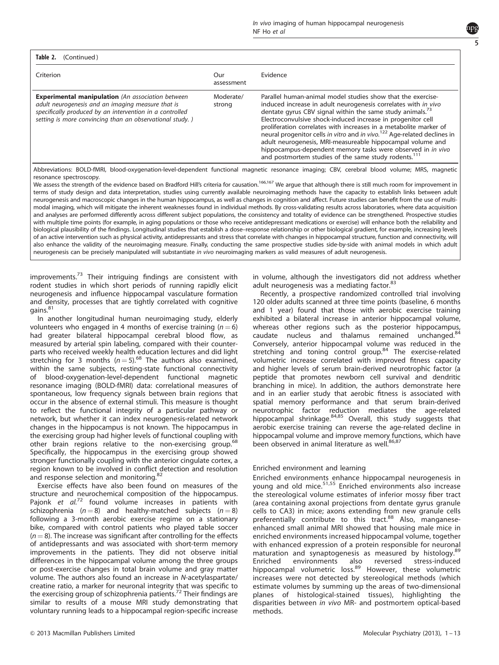# 5

#### Table 2. (Continued)

| Criterion                                                                                                                                                                                                                             | Our<br>assessment   | Evidence                                                                                                                                                                                                                                                                                                                                                                                                                                                                                                                                                                                                                            |
|---------------------------------------------------------------------------------------------------------------------------------------------------------------------------------------------------------------------------------------|---------------------|-------------------------------------------------------------------------------------------------------------------------------------------------------------------------------------------------------------------------------------------------------------------------------------------------------------------------------------------------------------------------------------------------------------------------------------------------------------------------------------------------------------------------------------------------------------------------------------------------------------------------------------|
| <b>Experimental manipulation</b> (An association between<br>adult neurogenesis and an imaging measure that is<br>specifically produced by an intervention in a controlled<br>setting is more convincing than an observational study.) | Moderate/<br>strong | Parallel human-animal model studies show that the exercise-<br>induced increase in adult neurogenesis correlates with in vivo<br>dentate gyrus CBV signal within the same study animals. <sup>73</sup><br>Electroconvulsive shock-induced increase in progenitor cell<br>proliferation correlates with increases in a metabolite marker of<br>neural progenitor cells in vitro and in vivo. <sup>122</sup> Age-related declines in<br>adult neurogenesis, MRI-measureable hippocampal volume and<br>hippocampus-dependent memory tasks were observed in in vivo<br>and postmortem studies of the same study rodents. <sup>111</sup> |

Abbreviations: BOLD-fMRI, blood-oxygenation-level-dependent functional magnetic resonance imaging; CBV, cerebral blood volume; MRS, magnetic resonance spectroscopy.

We assess the strength of the evidence based on Bradford Hill's criteria for causation.<sup>[166,167](#page-12-0)</sup> We argue that although there is still much room for improvement in terms of study design and data interpretation, studies using currently available neuroimaging methods have the capacity to establish links between adult neurogenesis and macroscopic changes in the human hippocampus, as well as changes in cognition and affect. Future studies can benefit from the use of multimodal imaging, which will mitigate the inherent weaknesses found in individual methods. By cross-validating results across laboratories, where data acquisition and analyses are performed differently across different subject populations, the consistency and totality of evidence can be strengthened. Prospective studies with multiple time points (for example, in aging populations or those who receive antidepressant medications or exercise) will enhance both the reliability and biological plausibility of the findings. Longitudinal studies that establish a dose–response relationship or other biological gradient, for example, increasing levels of an active intervention such as physical activity, antidepressants and stress that correlate with changes in hippocampal structure, function and connectivity, will also enhance the validity of the neuroimaging measure. Finally, conducting the same prospective studies side-by-side with animal models in which adult neurogenesis can be precisely manipulated will substantiate in vivo neuroimaging markers as valid measures of adult neurogenesis.

improvements.<sup>[73](#page-10-0)</sup> Their intriguing findings are consistent with rodent studies in which short periods of running rapidly elicit neurogenesis and influence hippocampal vasculature formation and density, processes that are tightly correlated with cognitive gains.<sup>81</sup>

In another longitudinal human neuroimaging study, elderly volunteers who engaged in 4 months of exercise training  $(n = 6)$ had greater bilateral hippocampal cerebral blood flow, as measured by arterial spin labeling, compared with their counterparts who received weekly health education lectures and did light stretching for 3 months ( $n = 5$ ).<sup>[68](#page-10-0)</sup> The authors also examined, within the same subjects, resting-state functional connectivity of blood-oxygenation-level-dependent functional magnetic resonance imaging (BOLD-fMRI) data: correlational measures of spontaneous, low frequency signals between brain regions that occur in the absence of external stimuli. This measure is thought to reflect the functional integrity of a particular pathway or network, but whether it can index neurogenesis-related network changes in the hippocampus is not known. The hippocampus in the exercising group had higher levels of functional coupling with other brain regions relative to the non-exercising group.<sup>[68](#page-10-0)</sup> Specifically, the hippocampus in the exercising group showed stronger functionally coupling with the anterior cingulate cortex, a region known to be involved in conflict detection and resolution and response selection and monitoring.<sup>[82](#page-10-0)</sup>

Exercise effects have also been found on measures of the structure and neurochemical composition of the hippocampus. Pajonk et al.<sup>[72](#page-10-0)</sup> found volume increases in patients with schizophrenia ( $n = 8$ ) and healthy-matched subjects ( $n = 8$ ) following a 3-month aerobic exercise regime on a stationary bike, compared with control patients who played table soccer  $(n = 8)$ . The increase was significant after controlling for the effects of antidepressants and was associated with short-term memory improvements in the patients. They did not observe initial differences in the hippocampal volume among the three groups or post-exercise changes in total brain volume and gray matter volume. The authors also found an increase in N-acetylaspartate/ creatine ratio, a marker for neuronal integrity that was specific to the exercising group of schizophrenia patients.<sup>[72](#page-10-0)</sup> Their findings are similar to results of a mouse MRI study demonstrating that voluntary running leads to a hippocampal region-specific increase in volume, although the investigators did not address whether adult neurogenesis was a mediating factor.<sup>[83](#page-10-0)</sup>

Recently, a prospective randomized controlled trial involving 120 older adults scanned at three time points (baseline, 6 months and 1 year) found that those with aerobic exercise training exhibited a bilateral increase in anterior hippocampal volume, whereas other regions such as the posterior hippocampus, caudate nucleus and thalamus remained unchanged.<sup>[84](#page-11-0)</sup> Conversely, anterior hippocampal volume was reduced in the stretching and toning control group.<sup>[84](#page-11-0)</sup> The exercise-related volumetric increase correlated with improved fitness capacity and higher levels of serum brain-derived neurotrophic factor (a peptide that promotes newborn cell survival and dendritic branching in mice). In addition, the authors demonstrate here and in an earlier study that aerobic fitness is associated with spatial memory performance and that serum brain-derived neurotrophic factor reduction mediates the age-related hippocampal shrinkage.<sup>[84,85](#page-11-0)</sup> Overall, this study suggests that aerobic exercise training can reverse the age-related decline in hippocampal volume and improve memory functions, which have been observed in animal literature as well.<sup>[86,87](#page-11-0)</sup>

#### Enriched environment and learning

Enriched environments enhance hippocampal neurogenesis in young and old mice.<sup>[51,55](#page-10-0)</sup> Enriched environments also increase the stereological volume estimates of inferior mossy fiber tract (area containing axonal projections from dentate gyrus granule cells to CA3) in mice; axons extending from new granule cells preferentially contribute to this tract.<sup>[88](#page-11-0)</sup> Also, manganeseenhanced small animal MRI showed that housing male mice in enriched environments increased hippocampal volume, together with enhanced expression of a protein responsible for neuronal maturation and synaptogenesis as measured by histology.[89](#page-11-0) Enriched environments also reversed stress-induced hippocampal volumetric loss.<sup>[89](#page-11-0)</sup> However, these volumetric increases were not detected by stereological methods (which estimate volumes by summing up the areas of two-dimensional planes of histological-stained tissues), highlighting the disparities between in vivo MR- and postmortem optical-based methods.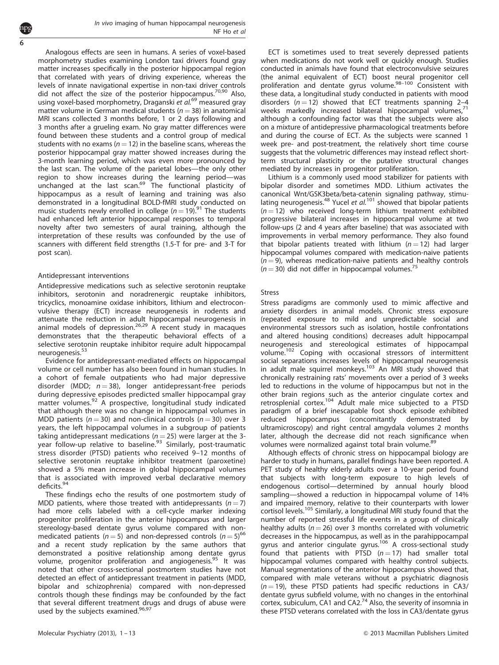6

Analogous effects are seen in humans. A series of voxel-based morphometry studies examining London taxi drivers found gray matter increases specifically in the posterior hippocampal region that correlated with years of driving experience, whereas the levels of innate navigational expertise in non-taxi driver controls did not affect the size of the posterior hippocampus.<sup>[70,90](#page-10-0)</sup> Also, using voxel-based morphometry, Draganski et al.<sup>[69](#page-10-0)</sup> measured gray matter volume in German medical students ( $n = 38$ ) in anatomical MRI scans collected 3 months before, 1 or 2 days following and 3 months after a grueling exam. No gray matter differences were found between these students and a control group of medical students with no exams ( $n = 12$ ) in the baseline scans, whereas the posterior hippocampal gray matter showed increases during the 3-month learning period, which was even more pronounced by the last scan. The volume of the parietal lobes—the only other region to show increases during the learning period—was unchanged at the last scan.<sup>[69](#page-10-0)</sup> The functional plasticity of hippocampus as a result of learning and training was also demonstrated in a longitudinal BOLD-fMRI study conducted on music students newly enrolled in college ( $n = 19$ ).<sup>[91](#page-11-0)</sup> The students had enhanced left anterior hippocampal responses to temporal novelty after two semesters of aural training, although the interpretation of these results was confounded by the use of scanners with different field strengths (1.5-T for pre- and 3-T for post scan).

### Antidepressant interventions

Antidepressive medications such as selective serotonin reuptake inhibitors, serotonin and noradrenergic reuptake inhibitors, tricyclics, monoamine oxidase inhibitors, lithium and electroconvulsive therapy (ECT) increase neurogenesis in rodents and attenuate the reduction in adult hippocampal neurogenesis in animal models of depression.<sup>[26,29](#page-9-0)</sup> A recent study in macaques demonstrates that the therapeutic behavioral effects of a selective serotonin reuptake inhibitor require adult hippocampal neurogenesis.<sup>[53](#page-10-0)</sup>

Evidence for antidepressant-mediated effects on hippocampal volume or cell number has also been found in human studies. In a cohort of female outpatients who had major depressive disorder (MDD;  $n = 38$ ), longer antidepressant-free periods during depressive episodes predicted smaller hippocampal gray matter volumes.<sup>[92](#page-11-0)</sup> A prospective, longitudinal study indicated that although there was no change in hippocampal volumes in MDD patients ( $n = 30$ ) and non-clinical controls ( $n = 30$ ) over 3 years, the left hippocampal volumes in a subgroup of patients taking antidepressant medications ( $n = 25$ ) were larger at the 3-year follow-up relative to baseline.<sup>[93](#page-11-0)</sup> Similarly, post-traumatic stress disorder (PTSD) patients who received 9–12 months of selective serotonin reuptake inhibitor treatment (paroxetine) showed a 5% mean increase in global hippocampal volumes that is associated with improved verbal declarative memory deficits.<sup>[94](#page-11-0)</sup>

These findings echo the results of one postmortem study of MDD patients, where those treated with antidepressants ( $n = 7$ ) had more cells labeled with a cell-cycle marker indexing progenitor proliferation in the anterior hippocampus and larger stereology-based dentate gyrus volume compared with nonmedicated patients ( $n = 5$ ) and non-depressed controls ( $n = 5$ )<sup>[66](#page-10-0)</sup> and a recent study replication by the same authors that demonstrated a positive relationship among dentate gyrus volume, progenitor proliferation and angiogenesis.<sup>95</sup> It was noted that other cross-sectional postmortem studies have not detected an effect of antidepressant treatment in patients (MDD, bipolar and schizophrenia) compared with non-depressed controls though these findings may be confounded by the fact that several different treatment drugs and drugs of abuse were used by the subjects examined.<sup>[96,97](#page-11-0)</sup>

ECT is sometimes used to treat severely depressed patients when medications do not work well or quickly enough. Studies conducted in animals have found that electroconvulsive seizures (the animal equivalent of ECT) boost neural progenitor cell proliferation and dentate gyrus volume.<sup>98-100</sup> Consistent with these data, a longitudinal study conducted in patients with mood disorders ( $n = 12$ ) showed that ECT treatments spanning 2-4 weeks markedly increased bilateral hippocampal volumes,<sup>[71](#page-10-0)</sup> although a confounding factor was that the subjects were also on a mixture of antidepressive pharmacological treatments before and during the course of ECT. As the subjects were scanned 1 week pre- and post-treatment, the relatively short time course suggests that the volumetric differences may instead reflect shortterm structural plasticity or the putative structural changes mediated by increases in progenitor proliferation.

Lithium is a commonly used mood stabilizer for patients with bipolar disorder and sometimes MDD. Lithium activates the canonical Wnt/GSK3beta/beta-catenin signaling pathway, stimu-lating neurogenesis.<sup>[48](#page-10-0)</sup> Yucel et  $al$ <sup>[101](#page-11-0)</sup> showed that bipolar patients  $(n = 12)$  who received long-term lithium treatment exhibited progressive bilateral increases in hippocampal volume at two follow-ups (2 and 4 years after baseline) that was associated with improvements in verbal memory performance. They also found that bipolar patients treated with lithium  $(n = 12)$  had larger hippocampal volumes compared with medication-naive patients  $(n = 9)$ , whereas medication-naive patients and healthy controls  $(n = 30)$  did not differ in hippocampal volumes.<sup>[75](#page-10-0)</sup>

#### Stress

Stress paradigms are commonly used to mimic affective and anxiety disorders in animal models. Chronic stress exposure (repeated exposure to mild and unpredictable social and environmental stressors such as isolation, hostile confrontations and altered housing conditions) decreases adult hippocampal neurogenesis and stereological estimates of hippocampal volume[.102](#page-11-0) Coping with occasional stressors of intermittent social separations increases levels of hippocampal neurogenesis in adult male squirrel monkeys.<sup>[103](#page-11-0)</sup> An MRI study showed that chronically restraining rats' movements over a period of 3 weeks led to reductions in the volume of hippocampus but not in the other brain regions such as the anterior cingulate cortex and<br>retrosplenial cortex.<sup>[104](#page-11-0)</sup> Adult male mice subjected to a PTSD paradigm of a brief inescapable foot shock episode exhibited reduced hippocampus (concomitantly demonstrated by ultramicroscopy) and right central amgydala volumes 2 months later, although the decrease did not reach significance when volumes were normalized against total brain volume.<sup>[89](#page-11-0)</sup>

Although effects of chronic stress on hippocampal biology are harder to study in humans, parallel findings have been reported. A PET study of healthy elderly adults over a 10-year period found that subjects with long-term exposure to high levels of endogenous cortisol—determined by annual hourly blood sampling—showed a reduction in hippocampal volume of 14% and impaired memory, relative to their counterparts with lower cortisol levels.[105](#page-11-0) Similarly, a longitudinal MRI study found that the number of reported stressful life events in a group of clinically healthy adults ( $n = 26$ ) over 3 months correlated with volumetric decreases in the hippocampus, as well as in the parahippocampal gyrus and anterior cingulate gyrus.<sup>[106](#page-11-0)</sup> A cross-sectional study found that patients with PTSD  $(n = 17)$  had smaller total hippocampal volumes compared with healthy control subjects. Manual segmentations of the anterior hippocampus showed that, compared with male veterans without a psychiatric diagnosis  $(n = 19)$ , these PTSD patients had specific reductions in CA3/ dentate gyrus subfield volume, with no changes in the entorhinal<br>cortex, subiculum, CA1 and CA2.<sup>[74](#page-10-0)</sup> Also, the severity of insomnia in these PTSD veterans correlated with the loss in CA3/dentate gyrus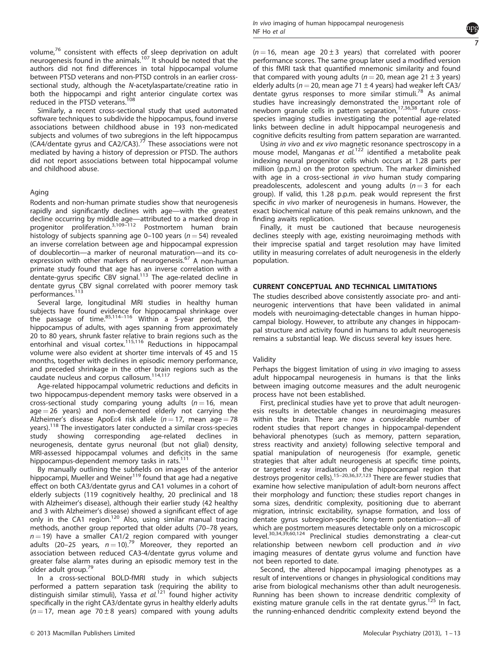Similarly, a recent cross-sectional study that used automated software techniques to subdivide the hippocampus, found inverse associations between childhood abuse in 193 non-medicated subjects and volumes of two subregions in the left hippocampus (CA4/dentate gyrus and CA2/CA3).<sup>[77](#page-10-0)</sup> These associations were not mediated by having a history of depression or PTSD. The authors did not report associations between total hippocampal volume and childhood abuse.

#### Aging

Rodents and non-human primate studies show that neurogenesis rapidly and significantly declines with age—with the greatest decline occurring by middle age—attributed to a marked drop in<br>progenitor proliferation.<sup>[3,109–112](#page-9-0)</sup> Postmortem human brain histology of subjects spanning age 0-100 years ( $n = 54$ ) revealed an inverse correlation between age and hippocampal expression of doublecortin—a marker of neuronal maturation—and its co-expression with other markers of neurogenesis.<sup>[67](#page-10-0)</sup> A non-human primate study found that age has an inverse correlation with a dentate-gyrus specific CBV signal.<sup>[113](#page-11-0)</sup> The age-related decline in dentate gyrus CBV signal correlated with poorer memory task performances.<sup>[113](#page-11-0)</sup>

Several large, longitudinal MRI studies in healthy human subjects have found evidence for hippocampal shrinkage over<br>the passage of time.<sup>[85,114–116](#page-11-0)</sup> Within a 5-year period, the hippocampus of adults, with ages spanning from approximately 20 to 80 years, shrunk faster relative to brain regions such as the entorhinal and visual cortex.[115,116](#page-11-0) Reductions in hippocampal volume were also evident at shorter time intervals of 45 and 15 months, together with declines in episodic memory performance, and preceded shrinkage in the other brain regions such as the caudate nucleus and corpus callosum.<sup>[114,117](#page-11-0)</sup>

Age-related hippocampal volumetric reductions and deficits in two hippocampus-dependent memory tasks were observed in a cross-sectional study comparing young adults  $(n = 16, \text{ mean})$  $aq$ e  $=$  26 years) and non-demented elderly not carrying the Alzheimer's disease ApoE $\epsilon$ 4 risk allele (n = 17, mean age = 78 years).[118](#page-11-0) The investigators later conducted a similar cross-species study showing corresponding age-related declines neurogenesis, dentate gyrus neuronal (but not glial) density, MRI-assessed hippocampal volumes and deficits in the same hippocampus-dependent memory tasks in rats.<sup>11</sup>

By manually outlining the subfields on images of the anterior hippocampi, Mueller and Weiner<sup>[119](#page-11-0)</sup> found that age had a negative effect on both CA3/dentate gyrus and CA1 volumes in a cohort of elderly subjects (119 cognitively healthy, 20 preclinical and 18 with Alzheimer's disease), although their earlier study (42 healthy and 3 with Alzheimer's disease) showed a significant effect of age only in the CA1 region.<sup>[120](#page-11-0)</sup> Also, using similar manual tracing methods, another group reported that older adults (70–78 years,  $n=19$ ) have a smaller CA1/2 region compared with younger<br>adults (20–25 years,  $n=10$ ).<sup>[79](#page-10-0)</sup> Moreover, they reported an association between reduced CA3-4/dentate gyrus volume and greater false alarm rates during an episodic memory test in the older adult group.[79](#page-10-0)

In a cross-sectional BOLD-fMRI study in which subjects performed a pattern separation task (requiring the ability to distinguish similar stimuli), Yassa et  $al^{121}$  $al^{121}$  $al^{121}$  found higher activity specifically in the right CA3/dentate gyrus in healthy elderly adults  $(n = 17,$  mean age 70 $\pm$ 8 years) compared with young adults  $(n = 16,$  mean age 20 $\pm$ 3 years) that correlated with poorer performance scores. The same group later used a modified version of this fMRI task that quantified mnemonic similarity and found that compared with young adults ( $n = 20$ , mean age 21 ± 3 years) elderly adults ( $n = 20$ , mean age 71  $\pm$  4 years) had weaker left CA3/ dentate gyrus responses to more similar stimuli.<sup>[78](#page-10-0)</sup> As animal studies have increasingly demonstrated the important role of<br>newborn granule cells in pattern separation,<sup>[17,36,38](#page-9-0)</sup> future crossspecies imaging studies investigating the potential age-related links between decline in adult hippocampal neurogenesis and cognitive deficits resulting from pattern separation are warranted. 7

Using in vivo and ex vivo magnetic resonance spectroscopy in a mouse model, Manganas et al.<sup>[122](#page-11-0)</sup> identified a metabolite peak indexing neural progenitor cells which occurs at 1.28 parts per million (p.p.m.) on the proton spectrum. The marker diminished with age in a cross-sectional in vivo human study comparing preadolescents, adolescent and young adults ( $n = 3$  for each group). If valid, this 1.28 p.p.m. peak would represent the first specific in vivo marker of neurogenesis in humans. However, the exact biochemical nature of this peak remains unknown, and the finding awaits replication.

Finally, it must be cautioned that because neurogenesis declines steeply with age, existing neuroimaging methods with their imprecise spatial and target resolution may have limited utility in measuring correlates of adult neurogenesis in the elderly population.

#### CURRENT CONCEPTUAL AND TECHNICAL LIMITATIONS

The studies described above consistently associate pro- and antineurogenic interventions that have been validated in animal models with neuroimaging-detectable changes in human hippocampal biology. However, to attribute any changes in hippocampal structure and activity found in humans to adult neurogenesis remains a substantial leap. We discuss several key issues here.

#### Validity

Perhaps the biggest limitation of using in vivo imaging to assess adult hippocampal neurogenesis in humans is that the links between imaging outcome measures and the adult neurogenic process have not been established.

First, preclinical studies have yet to prove that adult neurogenesis results in detectable changes in neuroimaging measures within the brain. There are now a considerable number of rodent studies that report changes in hippocampal-dependent behavioral phenotypes (such as memory, pattern separation, stress reactivity and anxiety) following selective temporal and spatial manipulation of neurogenesis (for example, genetic strategies that alter adult neurogenesis at specific time points, or targeted x-ray irradiation of the hippocampal region that destroys progenitor cells).<sup>[15–20,36,37,123](#page-9-0)</sup> There are fewer studies that examine how selective manipulation of adult-born neurons affect their morphology and function; these studies report changes in soma sizes, dendritic complexity, positioning due to aberrant migration, intrinsic excitability, synapse formation, and loss of dentate gyrus subregion-specific long-term potentiation—all of which are postmortem measures detectable only on a microscopic<br>level.<sup>30,34,39,60,124</sup> Preclinical studies demonstrating a clear-cut relationship between newborn cell production and in vivo imaging measures of dentate gyrus volume and function have not been reported to date.

Second, the altered hippocampal imaging phenotypes as a result of interventions or changes in physiological conditions may arise from biological mechanisms other than adult neurogenesis. Running has been shown to increase dendritic complexity of existing mature granule cells in the rat dentate gyrus.<sup>[125](#page-11-0)</sup> In fact, the running-enhanced dendritic complexity extend beyond the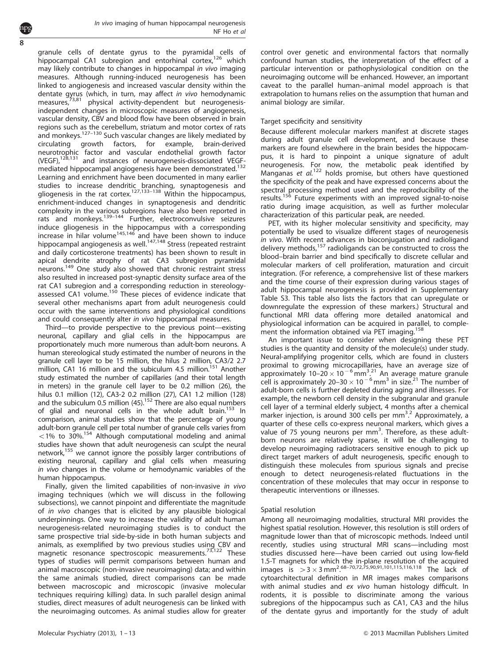granule cells of dentate gyrus to the pyramidal cells of hippocampal CA1 subregion and entorhinal cortex,<sup>[126](#page-11-0)</sup> which may likely contribute to changes in hippocampal in vivo imaging measures. Although running-induced neurogenesis has been linked to angiogenesis and increased vascular density within the dentate gyrus (which, in turn, may affect *in vivo* hemodynamic<br>measures,<sup>[73,81](#page-10-0)</sup> physical activity-dependent but neurogenesisindependent changes in microscopic measures of angiogenesis, vascular density, CBV and blood flow have been observed in brain regions such as the cerebellum, striatum and motor cortex of rats<br>and monkeys.<sup>[127–130](#page-11-0)</sup> Such vascular changes are likely mediated by circulating growth factors, for example, brain-derived neurotrophic factor and vascular endothelial growth factor  $(VEGF),<sup>128,131</sup>$  $(VEGF),<sup>128,131</sup>$  $(VEGF),<sup>128,131</sup>$  and instances of neurogenesis-dissociated VEGFmediated hippocampal angiogenesis have been demonstrated.[132](#page-11-0) Learning and enrichment have been documented in many earlier studies to increase dendritic branching, synaptogenesis and<br>gliogenesis in the rat cortex.<sup>[127,133–138](#page-11-0)</sup> Within the hippocampus, enrichment-induced changes in synaptogenesis and dendritic complexity in the various subregions have also been reported in rats and monkeys.[139–144](#page-12-0) Further, electroconvulsive seizures induce gliogenesis in the hippocampus with a corresponding<br>increase in hilar volume<sup>[145,146](#page-12-0)</sup> and have been shown to induce hippocampal angiogenesis as well.<sup>[147,148](#page-12-0)</sup> Stress (repeated restraint and daily corticosterone treatments) has been shown to result in apical dendrite atrophy of rat CA3 subregion pyramidal neurons.[149](#page-12-0) One study also showed that chronic restraint stress also resulted in increased post-synaptic density surface area of the rat CA1 subregion and a corresponding reduction in stereology-assessed CA1 volume.<sup>[150](#page-12-0)</sup> These pieces of evidence indicate that several other mechanisms apart from adult neurogenesis could occur with the same interventions and physiological conditions and could consequently alter in vivo hippocampal measures.

Third—to provide perspective to the previous point—existing neuronal, capillary and glial cells in the hippocampus are proportionately much more numerous than adult-born neurons. A human stereological study estimated the number of neurons in the granule cell layer to be 15 million, the hilus 2 million, CA3/2 2.7 million, CA1 16 million and the subiculum 4.5 million.<sup>151</sup> Another study estimated the number of capillaries (and their total length in meters) in the granule cell layer to be 0.2 million (26), the hilus 0.1 million (12), CA3-2 0.2 million (27), CA1 1.2 million (128) and the subiculum 0.5 million  $(45)$ .<sup>152</sup> There are also equal numbers of glial and neuronal cells in the whole adult brain.<sup>[153](#page-12-0)</sup> In comparison, animal studies show that the percentage of young adult-born granule cell per total number of granule cells varies from  $<$  1% to 30%.<sup>[154](#page-12-0)</sup> Although computational modeling and animal studies have shown that adult neurogenesis can sculpt the neural network[,155](#page-12-0) we cannot ignore the possibly larger contributions of existing neuronal, capillary and glial cells when measuring in vivo changes in the volume or hemodynamic variables of the human hippocampus.

Finally, given the limited capabilities of non-invasive in vivo imaging techniques (which we will discuss in the following subsections), we cannot pinpoint and differentiate the magnitude of in vivo changes that is elicited by any plausible biological underpinnings. One way to increase the validity of adult human neurogenesis-related neuroimaging studies is to conduct the same prospective trial side-by-side in both human subjects and animals, as exemplified by two previous studies using CBV and magnetic resonance spectroscopic measurements.[73,122](#page-10-0) These types of studies will permit comparisons between human and animal macroscopic (non-invasive neuroimaging) data; and within the same animals studied, direct comparisons can be made between macroscopic and microscopic (invasive molecular techniques requiring killing) data. In such parallel design animal studies, direct measures of adult neurogenesis can be linked with the neuroimaging outcomes. As animal studies allow for greater

Molecular Psychiatry (2013), 1 – 13 & 2013 Macmillan Publishers Limited

control over genetic and environmental factors that normally confound human studies, the interpretation of the effect of a particular intervention or pathophysiological condition on the neuroimaging outcome will be enhanced. However, an important caveat to the parallel human–animal model approach is that extrapolation to humans relies on the assumption that human and animal biology are similar.

#### Target specificity and sensitivity

Because different molecular markers manifest at discrete stages during adult granule cell development, and because these markers are found elsewhere in the brain besides the hippocampus, it is hard to pinpoint a unique signature of adult neurogenesis. For now, the metabolic peak identified by<br>Manganas et al.<sup>[122](#page-11-0)</sup> holds promise, but others have questioned the specificity of the peak and have expressed concerns about the spectral processing method used and the reproducibility of the results.[156](#page-12-0) Future experiments with an improved signal-to-noise ratio during image acquisition, as well as further molecular characterization of this particular peak, are needed.

PET, with its higher molecular sensitivity and specificity, may potentially be used to visualize different stages of neurogenesis in vivo. With recent advances in bioconjugation and radioligand delivery methods,[157](#page-12-0) radioligands can be constructed to cross the blood–brain barrier and bind specifically to discrete cellular and molecular markers of cell proliferation, maturation and circuit integration. (For reference, a comprehensive list of these markers and the time course of their expression during various stages of adult hippocampal neurogenesis is provided in Supplementary Table S3. This table also lists the factors that can upregulate or downregulate the expression of these markers.) Structural and functional MRI data offering more detailed anatomical and physiological information can be acquired in parallel, to comple-ment the information obtained via PET imaging.<sup>[158](#page-12-0)</sup>

An important issue to consider when designing these PET studies is the quantity and density of the molecule(s) under study. Neural-amplifying progenitor cells, which are found in clusters proximal to growing microcapillaries, have an average size of approximately  $10-20 \times 10^{-6}$  mm<sup>3.[21](#page-9-0)</sup> An average mature granule . cell is approximately 20-30  $\times$  10<sup>-6</sup> mm<sup>3</sup> in size.<sup>[21](#page-9-0)</sup> The number of adult-born cells is further depleted during aging and illnesses. For example, the newborn cell density in the subgranular and granule cell layer of a terminal elderly subject, 4 months after a chemical marker injection, is around 300 cells per mm<sup>3</sup>.<sup>[2](#page-9-0)</sup> Approximately, a . quarter of these cells co-express neuronal markers, which gives a value of 75 young neurons per mm<sup>3</sup>. Therefore, as these adultborn neurons are relatively sparse, it will be challenging to develop neuroimaging radiotracers sensitive enough to pick up direct target markers of adult neurogenesis, specific enough to distinguish these molecules from spurious signals and precise enough to detect neurogenesis-related fluctuations in the concentration of these molecules that may occur in response to therapeutic interventions or illnesses.

#### Spatial resolution

Among all neuroimaging modalities, structural MRI provides the highest spatial resolution. However, this resolution is still orders of magnitude lower than that of microscopic methods. Indeed until recently, studies using structural MRI scans—including most studies discussed here—have been carried out using low-field 1.5-T magnets for which the in-plane resolution of the acquired images is  $>3 \times 3 \text{ mm}^2$ .<sup>[68–70,72,75,90,91,101,115,116,118](#page-10-0)</sup> The lack of . cytoarchitectural definition in MR images makes comparisons with animal studies and ex vivo human histology difficult. In rodents, it is possible to discriminate among the various subregions of the hippocampus such as CA1, CA3 and the hilus of the dentate gyrus and importantly for the study of adult

8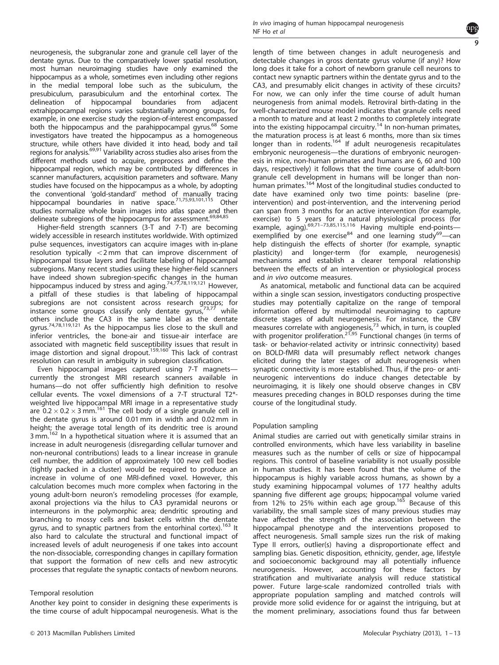neurogenesis, the subgranular zone and granule cell layer of the dentate gyrus. Due to the comparatively lower spatial resolution, most human neuroimaging studies have only examined the hippocampus as a whole, sometimes even including other regions in the medial temporal lobe such as the subiculum, the presubiculum, parasubiculum and the entorhinal cortex. The delineation of hippocampal boundaries from adjacent extrahippocampal regions varies substantially among groups, for example, in one exercise study the region-of-interest encompassed both the hippocampus and the parahippocampal gyrus.<sup>68</sup> Some investigators have treated the hippocampus as a homogeneous structure, while others have divided it into head, body and tail regions for analysis.<sup>[69,91](#page-10-0)</sup> Variability across studies also arises from the different methods used to acquire, preprocess and define the hippocampal region, which may be contributed by differences in scanner manufacturers, acquisition parameters and software. Many studies have focused on the hippocampus as a whole, by adopting the conventional 'gold-standard' method of manually tracing<br>hippocampal boundaries in native space.<sup>[71,75,93,101,115](#page-10-0)</sup> Other studies normalize whole brain images into atlas space and then delineate subregions of the hippocampus for assessment.<sup>69,84,85</sup>

Higher-field strength scanners (3-T and 7-T) are becoming widely accessible in research institutes worldwide. With optimized pulse sequences, investigators can acquire images with in-plane resolution typically  $<$ 2 mm that can improve discernment of hippocampal tissue layers and facilitate labeling of hippocampal subregions. Many recent studies using these higher-field scanners have indeed shown subregion-specific changes in the human<br>hippocampus induced by stress and aging.<sup>[74,77,78,119,121](#page-10-0)</sup> However, a pitfall of these studies is that labeling of hippocampal subregions are not consistent across research groups; for instance some groups classify only dentate gyrus, $73,77$  while others include the CA3 in the same label as the dentate gyrus.[74,78,119,121](#page-10-0) As the hippocampus lies close to the skull and inferior ventricles, the bone-air and tissue-air interface are associated with magnetic field susceptibility issues that result in image distortion and signal dropout.[159,160](#page-12-0) This lack of contrast resolution can result in ambiguity in subregion classification.

Even hippocampal images captured using 7-T magnets currently the strongest MRI research scanners available in humans—do not offer sufficiently high definition to resolve cellular events. The voxel dimensions of a 7-T structural T2\* weighted live hippocampal MRI image in a representative study are  $0.2 \times 0.2 \times 3$  mm.<sup>161</sup> The cell body of a single granule cell in the dentate gyrus is around 0.01 mm in width and 0.02 mm in height; the average total length of its dendritic tree is around  $3$  mm.<sup>[162](#page-12-0)</sup> In a hypothetical situation where it is assumed that an increase in adult neurogenesis (disregarding cellular turnover and non-neuronal contributions) leads to a linear increase in granule cell number, the addition of approximately 100 new cell bodies (tightly packed in a cluster) would be required to produce an increase in volume of one MRI-defined voxel. However, this calculation becomes much more complex when factoring in the young adult-born neuron's remodeling processes (for example, axonal projections via the hilus to CA3 pyramidal neurons or interneurons in the polymorphic area; dendritic sprouting and branching to mossy cells and basket cells within the dentate gyrus, and to synaptic partners from the entorhinal cortex).<sup>[163](#page-12-0)</sup> It also hard to calculate the structural and functional impact of increased levels of adult neurogenesis if one takes into account the non-dissociable, corresponding changes in capillary formation that support the formation of new cells and new astrocytic processes that regulate the synaptic contacts of newborn neurons.

#### Temporal resolution

Another key point to consider in designing these experiments is the time course of adult hippocampal neurogenesis. What is the



length of time between changes in adult neurogenesis and detectable changes in gross dentate gyrus volume (if any)? How long does it take for a cohort of newborn granule cell neurons to contact new synaptic partners within the dentate gyrus and to the CA3, and presumably elicit changes in activity of these circuits? For now, we can only infer the time course of adult human neurogenesis from animal models. Retroviral birth-dating in the well-characterized mouse model indicates that granule cells need a month to mature and at least 2 months to completely integrate into the existing hippocampal circuitry.<sup>[14](#page-9-0)</sup> In non-human primates, the maturation process is at least 6 months, more than six times longer than in rodents.<sup>[164](#page-12-0)</sup> If adult neurogenesis recapitulates embryonic neurogenesis—the durations of embryonic neurogenesis in mice, non-human primates and humans are 6, 60 and 100 days, respectively) it follows that the time course of adult-born granule cell development in humans will be longer than nonhuman primates.<sup>164</sup> Most of the longitudinal studies conducted to date have examined only two time points: baseline (preintervention) and post-intervention, and the intervening period can span from 3 months for an active intervention (for example, exercise) to 5 years for a natural physiological process (for<br>example, aging).<sup>69,71–73,85,115,116</sup> Having multiple end-points exemplified by one exercise  $84$  and one learning study $69$ —can help distinguish the effects of shorter (for example, synaptic plasticity) and longer-term (for example, neurogenesis) mechanisms and establish a clearer temporal relationship between the effects of an intervention or physiological process and in vivo outcome measures.

As anatomical, metabolic and functional data can be acquired within a single scan session, investigators conducting prospective studies may potentially capitalize on the range of temporal information offered by multimodal neuroimaging to capture discrete stages of adult neurogenesis. For instance, the CBV measures correlate with angiogenesis, $7<sup>3</sup>$  which, in turn, is coupled with progenitor proliferation.<sup>[21,95](#page-9-0)</sup> Functional changes (in terms of task- or behavior-related activity or intrinsic connectivity) based on BOLD-fMRI data will presumably reflect network changes elicited during the later stages of adult neurogenesis when synaptic connectivity is more established. Thus, if the pro- or antineurogenic interventions do induce changes detectable by neuroimaging, it is likely one should observe changes in CBV measures preceding changes in BOLD responses during the time course of the longitudinal study.

# Population sampling

Animal studies are carried out with genetically similar strains in controlled environments, which have less variability in baseline measures such as the number of cells or size of hippocampal regions. This control of baseline variability is not usually possible in human studies. It has been found that the volume of the hippocampus is highly variable across humans, as shown by a study examining hippocampal volumes of 177 healthy adults spanning five different age groups; hippocampal volume varied from 12% to 25% within each age group.<sup>[165](#page-12-0)</sup> Because of this variability, the small sample sizes of many previous studies may have affected the strength of the association between the hippocampal phenotype and the interventions proposed to affect neurogenesis. Small sample sizes run the risk of making Type II errors, outlier(s) having a disproportionate effect and sampling bias. Genetic disposition, ethnicity, gender, age, lifestyle and socioeconomic background may all potentially influence neurogenesis. However, accounting for these factors by stratification and multivariate analysis will reduce statistical power. Future large-scale randomized controlled trials with appropriate population sampling and matched controls will provide more solid evidence for or against the intriguing, but at the moment preliminary, associations found thus far between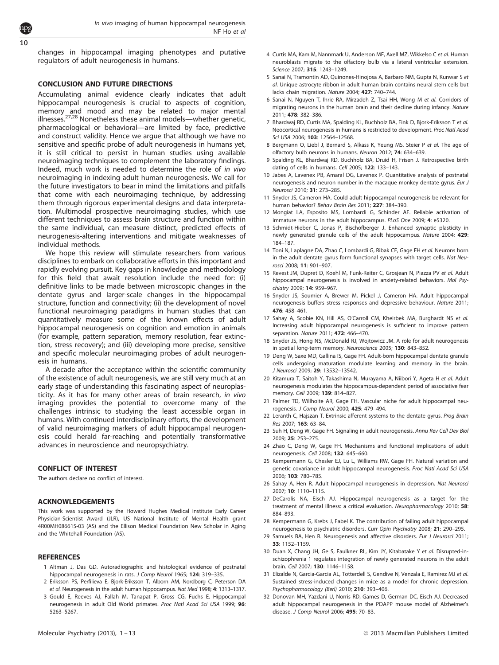<span id="page-9-0"></span>changes in hippocampal imaging phenotypes and putative regulators of adult neurogenesis in humans.

#### CONCLUSION AND FUTURE DIRECTIONS

Accumulating animal evidence clearly indicates that adult hippocampal neurogenesis is crucial to aspects of cognition, memory and mood and may be related to major mental illnesses.27,28 Nonetheless these animal models—whether genetic, pharmacological or behavioral—are limited by face, predictive and construct validity. Hence we argue that although we have no sensitive and specific probe of adult neurogenesis in humans yet, it is still critical to persist in human studies using available neuroimaging techniques to complement the laboratory findings. Indeed, much work is needed to determine the role of in vivo neuroimaging in indexing adult human neurogenesis. We call for the future investigators to bear in mind the limitations and pitfalls that come with each neuroimaging technique, by addressing them through rigorous experimental designs and data interpretation. Multimodal prospective neuroimaging studies, which use different techniques to assess brain structure and function within the same individual, can measure distinct, predicted effects of neurogenesis-altering interventions and mitigate weaknesses of individual methods.

We hope this review will stimulate researchers from various disciplines to embark on collaborative efforts in this important and rapidly evolving pursuit. Key gaps in knowledge and methodology for this field that await resolution include the need for: (i) definitive links to be made between microscopic changes in the dentate gyrus and larger-scale changes in the hippocampal structure, function and connectivity; (ii) the development of novel functional neuroimaging paradigms in human studies that can quantitatively measure some of the known effects of adult hippocampal neurogenesis on cognition and emotion in animals (for example, pattern separation, memory resolution, fear extinction, stress recovery); and (iii) developing more precise, sensitive and specific molecular neuroimaging probes of adult neurogenesis in humans.

A decade after the acceptance within the scientific community of the existence of adult neurogenesis, we are still very much at an early stage of understanding this fascinating aspect of neuroplasticity. As it has for many other areas of brain research, in vivo imaging provides the potential to overcome many of the challenges intrinsic to studying the least accessible organ in humans. With continued interdisciplinary efforts, the development of valid neuroimaging markers of adult hippocampal neurogenesis could herald far-reaching and potentially transformative advances in neuroscience and neuropsychiatry.

#### CONFLICT OF INTEREST

The authors declare no conflict of interest.

#### ACKNOWLEDGEMENTS

This work was supported by the Howard Hughes Medical Institute Early Career Physician-Scientist Award (JLR), US National Institute of Mental Health grant 4R00MH086615-03 (AS) and the Ellison Medical Foundation New Scholar in Aging and the Whitehall Foundation (AS).

#### **REFERENCES**

- 1 Altman J, Das GD. Autoradiographic and histological evidence of postnatal hippocampal neurogenesis in rats. J Comp Neurol 1965: 124: 319-335.
- 2 Eriksson PS, Perfilieva E, Bjork-Eriksson T, Alborn AM, Nordborg C, Peterson DA et al. Neurogenesis in the adult human hippocampus. Nat Med 1998; 4: 1313–1317.
- 3 Gould E, Reeves AJ, Fallah M, Tanapat P, Gross CG, Fuchs E. Hippocampal neurogenesis in adult Old World primates. Proc Natl Acad Sci USA 1999; 96: 5263–5267.
- 4 Curtis MA, Kam M, Nannmark U, Anderson MF, Axell MZ, Wikkelso C et al. Human neuroblasts migrate to the olfactory bulb via a lateral ventricular extension. Science 2007; 315: 1243–1249.
- 5 Sanai N, Tramontin AD, Quinones-Hinojosa A, Barbaro NM, Gupta N, Kunwar S et al. Unique astrocyte ribbon in adult human brain contains neural stem cells but lacks chain migration. Nature 2004; 427: 740–744.
- 6 Sanai N, Nguyen T, Ihrie RA, Mirzadeh Z, Tsai HH, Wong M et al. Corridors of migrating neurons in the human brain and their decline during infancy. Nature 2011; 478: 382–386.
- 7 Bhardwaj RD, Curtis MA, Spalding KL, Buchholz BA, Fink D, Bjork-Eriksson T et al. Neocortical neurogenesis in humans is restricted to development. Proc Natl Acad Sci USA 2006: 103: 12564-12568
- 8 Bergmann O, Liebl J, Bernard S, Alkass K, Yeung MS, Steier P et al. The age of olfactory bulb neurons in humans. Neuron 2012; 74: 634–639.
- 9 Spalding KL, Bhardwaj RD, Buchholz BA, Druid H, Frisen J. Retrospective birth dating of cells in humans. Cell 2005; 122: 133–143.
- 10 Jabes A, Lavenex PB, Amaral DG, Lavenex P. Quantitative analysis of postnatal neurogenesis and neuron number in the macaque monkey dentate gyrus. Eur J Neurosci 2010; 31: 273–285.
- 11 Snyder JS, Cameron HA. Could adult hippocampal neurogenesis be relevant for human behavior? Behav Brain Res 2011; 227: 384–390.
- 12 Mongiat LA, Esposito MS, Lombardi G, Schinder AF. Reliable activation of immature neurons in the adult hippocampus. PLoS One 2009; 4: e5320.
- 13 Schmidt-Hieber C, Jonas P, Bischofberger J. Enhanced synaptic plasticity in newly generated granule cells of the adult hippocampus. Nature 2004; 429: 184–187.
- 14 Toni N, Laplagne DA, Zhao C, Lombardi G, Ribak CE, Gage FH et al. Neurons born in the adult dentate gyrus form functional synapses with target cells. Nat Neurosci 2008; 11: 901–907.
- 15 Revest JM, Dupret D, Koehl M, Funk-Reiter C, Grosjean N, Piazza PV et al. Adult hippocampal neurogenesis is involved in anxiety-related behaviors. Mol Psychiatry 2009; 14: 959–967.
- 16 Snyder JS, Soumier A, Brewer M, Pickel J, Cameron HA. Adult hippocampal neurogenesis buffers stress responses and depressive behaviour. Nature 2011; 476: 458–461.
- 17 Sahay A, Scobie KN, Hill AS, O'Carroll CM, Kheirbek MA, Burghardt NS et al. Increasing adult hippocampal neurogenesis is sufficient to improve pattern separation. Nature 2011; 472: 466–470.
- 18 Snyder JS, Hong NS, McDonald RJ, Wojtowicz JM. A role for adult neurogenesis in spatial long-term memory. Neuroscience 2005; 130: 843–852.
- 19 Deng W, Saxe MD, Gallina IS, Gage FH. Adult-born hippocampal dentate granule cells undergoing maturation modulate learning and memory in the brain. J Neurosci 2009; 29: 13532–13542.
- 20 Kitamura T, Saitoh Y, Takashima N, Murayama A, Niibori Y, Ageta H et al. Adult neurogenesis modulates the hippocampus-dependent period of associative fear memory. Cell 2009; 139: 814–827.
- 21 Palmer TD, Willhoite AR, Gage FH. Vascular niche for adult hippocampal neurogenesis. J Comp Neurol 2000; 425: 479–494.
- 22 Leranth C, Hajszan T. Extrinsic afferent systems to the dentate gyrus. Prog Brain Res 2007; 163: 63–84.
- 23 Suh H, Deng W, Gage FH. Signaling in adult neurogenesis. Annu Rev Cell Dev Biol 2009; 25: 253–275.
- 24 Zhao C, Deng W, Gage FH. Mechanisms and functional implications of adult neurogenesis. Cell 2008; 132: 645–660.
- 25 Kempermann G, Chesler EJ, Lu L, Williams RW, Gage FH. Natural variation and genetic covariance in adult hippocampal neurogenesis. Proc Natl Acad Sci USA 2006; 103: 780–785.
- 26 Sahay A, Hen R. Adult hippocampal neurogenesis in depression. Nat Neurosci 2007; 10: 1110–1115.
- 27 DeCarolis NA, Eisch AJ. Hippocampal neurogenesis as a target for the treatment of mental illness: a critical evaluation. Neuropharmacology 2010; 58: 884–893.
- 28 Kempermann G, Krebs J, Fabel K. The contribution of failing adult hippocampal neurogenesis to psychiatric disorders. Curr Opin Psychiatry 2008; 21: 290–295.
- 29 Samuels BA, Hen R. Neurogenesis and affective disorders. Eur J Neurosci 2011; 33: 1152–1159.
- 30 Duan X, Chang JH, Ge S, Faulkner RL, Kim JY, Kitabatake Y et al. Disrupted-inschizophrenia 1 regulates integration of newly generated neurons in the adult brain. Cell 2007; 130: 1146–1158.
- 31 Elizalde N, Garcia-Garcia AL, Totterdell S, Gendive N, Venzala E, Ramirez MJ et al. Sustained stress-induced changes in mice as a model for chronic depression. Psychopharmacology (Berl) 2010; 210: 393–406.
- 32 Donovan MH, Yazdani U, Norris RD, Games D, German DC, Eisch AJ. Decreased adult hippocampal neurogenesis in the PDAPP mouse model of Alzheimer's disease. J Comp Neurol 2006; 495: 70–83.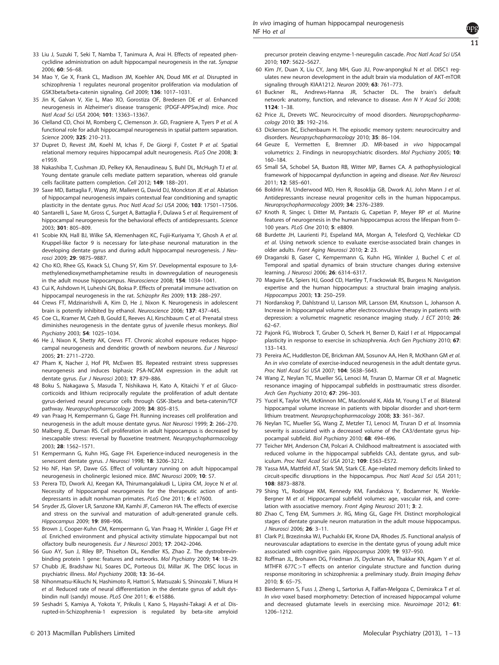

- <span id="page-10-0"></span>33 Liu J, Suzuki T, Seki T, Namba T, Tanimura A, Arai H. Effects of repeated phencyclidine administration on adult hippocampal neurogenesis in the rat. Synapse 2006; 60: 56–68.
- 34 Mao Y, Ge X, Frank CL, Madison JM, Koehler AN, Doud MK et al. Disrupted in schizophrenia 1 regulates neuronal progenitor proliferation via modulation of GSK3beta/beta-catenin signaling. Cell 2009; 136: 1017–1031.
- 35 Jin K, Galvan V, Xie L, Mao XO, Gorostiza OF, Bredesen DE et al. Enhanced neurogenesis in Alzheimer's disease transgenic (PDGF-APPSw,Ind) mice. Proc Natl Acad Sci USA 2004; 101: 13363–13367.
- 36 Clelland CD, Choi M, Romberg C, Clemenson Jr. GD, Fragniere A, Tyers P et al. A functional role for adult hippocampal neurogenesis in spatial pattern separation. Science 2009; 325: 210–213.
- 37 Dupret D, Revest JM, Koehl M, Ichas F, De Giorgi F, Costet P et al. Spatial relational memory requires hippocampal adult neurogenesis. PLoS One 2008; 3: e1959.
- 38 Nakashiba T, Cushman JD, Pelkey KA, Renaudineau S, Buhl DL, McHugh TJ et al. Young dentate granule cells mediate pattern separation, whereas old granule cells facilitate pattern completion. Cell 2012; 149: 188–201.
- 39 Saxe MD, Battaglia F, Wang JW, Malleret G, David DJ, Monckton JE et al. Ablation of hippocampal neurogenesis impairs contextual fear conditioning and synaptic plasticity in the dentate gyrus. Proc Natl Acad Sci USA 2006; 103: 17501-17506.
- 40 Santarelli L, Saxe M, Gross C, Surget A, Battaglia F, Dulawa S et al. Requirement of hippocampal neurogenesis for the behavioral effects of antidepressants. Science 2003; 301: 805–809.
- 41 Scobie KN, Hall BJ, Wilke SA, Klemenhagen KC, Fujii-Kuriyama Y, Ghosh A et al. Kruppel-like factor 9 is necessary for late-phase neuronal maturation in the developing dentate gyrus and during adult hippocampal neurogenesis. J Neurosci 2009; 29: 9875–9887.
- 42 Cho KO, Rhee GS, Kwack SJ, Chung SY, Kim SY. Developmental exposure to 3,4 methylenedioxymethamphetamine results in downregulation of neurogenesis in the adult mouse hippocampus. Neuroscience 2008; 154: 1034–1041.
- 43 Cui K, Ashdown H, Luheshi GN, Boksa P. Effects of prenatal immune activation on hippocampal neurogenesis in the rat. Schizophr Res 2009; 113: 288-297.
- 44 Crews FT, Mdzinarishvili A, Kim D, He J, Nixon K. Neurogenesis in adolescent brain is potently inhibited by ethanol. Neuroscience 2006; 137: 437–445.
- 45 Coe CL, Kramer M, Czeh B, Gould E, Reeves AJ, Kirschbaum C et al. Prenatal stress diminishes neurogenesis in the dentate gyrus of juvenile rhesus monkeys. Biol Psychiatry 2003; 54: 1025–1034.
- 46 He J, Nixon K, Shetty AK, Crews FT. Chronic alcohol exposure reduces hippocampal neurogenesis and dendritic growth of newborn neurons. Eur J Neurosci 2005; 21: 2711–2720.
- 47 Pham K, Nacher J, Hof PR, McEwen BS. Repeated restraint stress suppresses neurogenesis and induces biphasic PSA-NCAM expression in the adult rat dentate gyrus. Eur J Neurosci 2003; 17: 879-886.
- 48 Boku S, Nakagawa S, Masuda T, Nishikawa H, Kato A, Kitaichi Y et al. Glucocorticoids and lithium reciprocally regulate the proliferation of adult dentate gyrus-derived neural precursor cells through GSK-3beta and beta-catenin/TCF pathway. Neuropsychopharmacology 2009; 34: 805-815.
- 49 van Praag H, Kempermann G, Gage FH. Running increases cell proliferation and neurogenesis in the adult mouse dentate gyrus. Nat Neurosci 1999; 2: 266–270.
- 50 Malberg JE, Duman RS. Cell proliferation in adult hippocampus is decreased by inescapable stress: reversal by fluoxetine treatment. Neuropsychopharmacology 2003; 28: 1562–1571.
- 51 Kempermann G, Kuhn HG, Gage FH. Experience-induced neurogenesis in the senescent dentate gyrus. J Neurosci 1998; 18: 3206–3212.
- 52 Ho NF, Han SP, Dawe GS. Effect of voluntary running on adult hippocampal neurogenesis in cholinergic lesioned mice. BMC Neurosci 2009; 10: 57.
- 53 Perera TD, Dwork AJ, Keegan KA, Thirumangalakudi L, Lipira CM, Joyce N et al. Necessity of hippocampal neurogenesis for the therapeutic action of antidepressants in adult nonhuman primates. PLoS One 2011; 6: e17600.
- 54 Snyder JS, Glover LR, Sanzone KM, Kamhi JF, Cameron HA. The effects of exercise and stress on the survival and maturation of adult-generated granule cells. Hippocampus 2009; 19: 898–906.
- 55 Brown J, Cooper-Kuhn CM, Kempermann G, Van Praag H, Winkler J, Gage FH et al. Enriched environment and physical activity stimulate hippocampal but not olfactory bulb neurogenesis. Eur J Neurosci 2003; 17: 2042–2046.
- 56 Guo AY, Sun J, Riley BP, Thiselton DL, Kendler KS, Zhao Z. The dystrobrevinbinding protein 1 gene: features and networks. Mol Psychiatry 2009; 14: 18–29.
- 57 Chubb JE, Bradshaw NJ, Soares DC, Porteous DJ, Millar JK. The DISC locus in psychiatric illness. Mol Psychiatry 2008; 13: 36–64.
- 58 Nihonmatsu-Kikuchi N, Hashimoto R, Hattori S, Matsuzaki S, Shinozaki T, Miura H et al. Reduced rate of neural differentiation in the dentate gyrus of adult dysbindin null (sandy) mouse. PLoS One 2011; 6: e15886.
- 59 Seshadri S, Kamiya A, Yokota Y, Prikulis I, Kano S, Hayashi-Takagi A et al. Disrupted-in-Schizophrenia-1 expression is regulated by beta-site amyloid

precursor protein cleaving enzyme-1-neuregulin cascade. Proc Natl Acad Sci USA 2010; 107: 5622–5627.

- 60 Kim JY, Duan X, Liu CY, Jang MH, Guo JU, Pow-anpongkul N et al. DISC1 regulates new neuron development in the adult brain via modulation of AKT-mTOR signaling through KIAA1212. Neuron 2009; 63: 761–773.
- 61 Buckner RL, Andrews-Hanna JR, Schacter DL. The brain's default network: anatomy, function, and relevance to disease. Ann N Y Acad Sci 2008; 1124: 1–38.
- 62 Price JL, Drevets WC. Neurocircuitry of mood disorders. Neuropsychopharmacology 2010; 35: 192–216.
- 63 Dickerson BC, Eichenbaum H. The episodic memory system: neurocircuitry and disorders. Neuropsychopharmacology 2010; 35: 86–104.
- 64 Geuze E, Vermetten E, Bremner JD. MR-based in vivo hippocampal volumetrics: 2. Findings in neuropsychiatric disorders. Mol Psychiatry 2005; 10: 160–184.
- 65 Small SA, Schobel SA, Buxton RB, Witter MP, Barnes CA. A pathophysiological framework of hippocampal dysfunction in ageing and disease. Nat Rev Neurosci 2011; 12: 585–601.
- 66 Boldrini M, Underwood MD, Hen R, Rosoklija GB, Dwork AJ, John Mann J et al. Antidepressants increase neural progenitor cells in the human hippocampus. Neuropsychopharmacology 2009; 34: 2376–2389.
- 67 Knoth R, Singec I, Ditter M, Pantazis G, Capetian P, Meyer RP et al. Murine features of neurogenesis in the human hippocampus across the lifespan from 0– 100 years. PLoS One 2010; 5: e8809.
- 68 Burdette JH, Laurienti PJ, Espeland MA, Morgan A, Telesford Q, Vechlekar CD et al. Using network science to evaluate exercise-associated brain changes in older adults. Front Aging Neurosci 2010; 2: 23.
- 69 Draganski B, Gaser C, Kempermann G, Kuhn HG, Winkler J, Buchel C et al. Temporal and spatial dynamics of brain structure changes during extensive learning. J Neurosci 2006; 26: 6314–6317.
- 70 Maguire EA, Spiers HJ, Good CD, Hartley T, Frackowiak RS, Burgess N. Navigation expertise and the human hippocampus: a structural brain imaging analysis. Hippocampus 2003; 13: 250–259.
- 71 Nordanskog P, Dahlstrand U, Larsson MR, Larsson EM, Knutsson L, Johanson A. Increase in hippocampal volume after electroconvulsive therapy in patients with depression: a volumetric magnetic resonance imaging study. J ECT 2010; 26: 62–67.
- 72 Pajonk FG, Wobrock T, Gruber O, Scherk H, Berner D, Kaizl I et al. Hippocampal plasticity in response to exercise in schizophrenia. Arch Gen Psychiatry 2010; 67: 133–143.
- 73 Pereira AC, Huddleston DE, Brickman AM, Sosunov AA, Hen R, McKhann GM et al. An in vivo correlate of exercise-induced neurogenesis in the adult dentate gyrus. Proc Natl Acad Sci USA 2007; 104: 5638–5643.
- 74 Wang Z, Neylan TC, Mueller SG, Lenoci M, Truran D, Marmar CR et al. Magnetic resonance imaging of hippocampal subfields in posttraumatic stress disorder. Arch Gen Psychiatry 2010; 67: 296–303.
- 75 Yucel K, Taylor VH, McKinnon MC, Macdonald K, Alda M, Young LT et al. Bilateral hippocampal volume increase in patients with bipolar disorder and short-term lithium treatment. Neuropsychopharmacology 2008; 33: 361–367.
- 76 Neylan TC, Mueller SG, Wang Z, Metzler TJ, Lenoci M, Truran D et al. Insomnia severity is associated with a decreased volume of the CA3/dentate gyrus hippocampal subfield. Biol Psychiatry 2010; 68: 494–496.
- 77 Teicher MH, Anderson CM, Polcari A. Childhood maltreatment is associated with reduced volume in the hippocampal subfields CA3, dentate gyrus, and subiculum. Proc Natl Acad Sci USA 2012; 109: E563–E572.
- 78 Yassa MA, Mattfeld AT, Stark SM, Stark CE. Age-related memory deficits linked to circuit-specific disruptions in the hippocampus. Proc Natl Acad Sci USA 2011; 108: 8873–8878.
- 79 Shing YL, Rodrigue KM, Kennedy KM, Fandakova Y, Bodammer N, Werkle-Bergner M et al. Hippocampal subfield volumes: age, vascular risk, and correlation with associative memory. Front Aging Neurosci 2011; 3: 2.
- 80 Zhao C, Teng EM, Summers Jr. RG, Ming GL, Gage FH. Distinct morphological stages of dentate granule neuron maturation in the adult mouse hippocampus. J Neurosci 2006; 26: 3–11.
- 81 Clark PJ, Brzezinska WJ, Puchalski EK, Krone DA, Rhodes JS. Functional analysis of neurovascular adaptations to exercise in the dentate gyrus of young adult mice associated with cognitive gain. Hippocampus 2009; 19: 937–950.
- 82 Roffman JL, Brohawn DG, Friedman JS, Dyckman KA, Thakkar KN, Agam Y et al. MTHFR 677 $C > T$  effects on anterior cingulate structure and function during response monitoring in schizophrenia: a preliminary study. Brain Imaging Behav 2010; 5: 65–75.
- 83 Biedermann S, Fuss J, Zheng L, Sartorius A, Falfan-Melgoza C, Demirakca T et al. In vivo voxel based morphometry: Detection of increased hippocampal volume and decreased glutamate levels in exercising mice. Neuroimage 2012; 61: 1206–1212.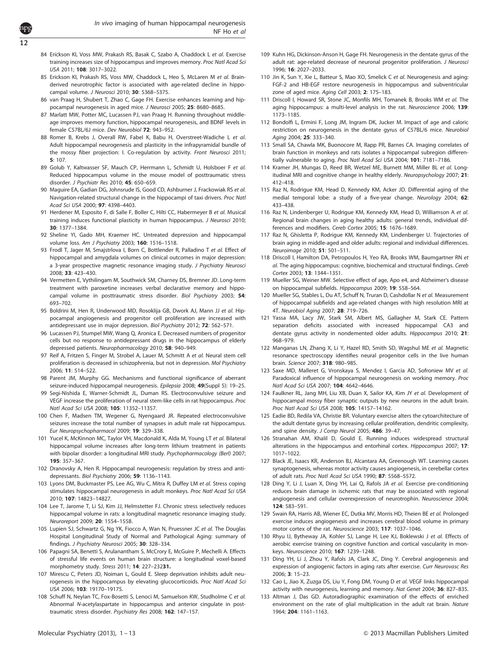- <span id="page-11-0"></span>84 Erickson KI, Voss MW, Prakash RS, Basak C, Szabo A, Chaddock L et al. Exercise training increases size of hippocampus and improves memory. Proc Natl Acad Sci USA 2011; 108: 3017–3022.
- 85 Erickson KI, Prakash RS, Voss MW, Chaddock L, Heo S, McLaren M et al. Brainderived neurotrophic factor is associated with age-related decline in hippocampal volume. J Neurosci 2010; 30: 5368–5375.
- 86 van Praag H, Shubert T, Zhao C, Gage FH. Exercise enhances learning and hippocampal neurogenesis in aged mice. J Neurosci 2005; 25: 8680–8685.
- 87 Marlatt MW, Potter MC, Lucassen PJ, van Praag H. Running throughout middleage improves memory function, hippocampal neurogenesis, and BDNF levels in female C57BL/6J mice. Dev Neurobiol 72: 943–952.
- 88 Romer B, Krebs J, Overall RW, Fabel K, Babu H, Overstreet-Wadiche L et al. Adult hippocampal neurogenesis and plasticity in the infrapyramidal bundle of the mossy fiber projection: I. Co-regulation by activity. Front Neurosci 2011;  $5:107$ .
- 89 Golub Y, Kaltwasser SF, Mauch CP, Herrmann L, Schmidt U, Holsboer F et al. Reduced hippocampus volume in the mouse model of posttraumatic stress disorder. J Psychiatr Res 2010; 45: 650–659.
- 90 Maguire EA, Gadian DG, Johnsrude IS, Good CD, Ashburner J, Frackowiak RS et al. Navigation-related structural change in the hippocampi of taxi drivers. Proc Natl Acad Sci USA 2000; 97: 4398–4403.
- 91 Herdener M, Esposito F, di Salle F, Boller C, Hilti CC, Habermeyer B et al. Musical training induces functional plasticity in human hippocampus. J Neurosci 2010; 30: 1377–1384.
- 92 Sheline YI, Gado MH, Kraemer HC. Untreated depression and hippocampal volume loss. Am J Psychiatry 2003; 160: 1516–1518.
- 93 Frodl T, Jager M, Smajstrlova I, Born C, Bottlender R, Palladino T et al. Effect of hippocampal and amygdala volumes on clinical outcomes in major depression: a 3-year prospective magnetic resonance imaging study. J Psychiatry Neurosci 2008; 33: 423–430.
- 94 Vermetten E, Vythilingam M, Southwick SM, Charney DS, Bremner JD. Long-term treatment with paroxetine increases verbal declarative memory and hippocampal volume in posttraumatic stress disorder. Biol Psychiatry 2003; 54: 693–702.
- 95 Boldrini M, Hen R, Underwood MD, Rosoklija GB, Dwork AJ, Mann JJ et al. Hippocampal angiogenesis and progenitor cell proliferation are increased with antidepressant use in major depression. Biol Psychiatry 2012; 72: 562–571.
- 96 Lucassen PJ, Stumpel MW, Wang Q, Aronica E. Decreased numbers of progenitor cells but no response to antidepressant drugs in the hippocampus of elderly depressed patients. Neuropharmacology 2010; 58: 940–949.
- 97 Reif A, Fritzen S, Finger M, Strobel A, Lauer M, Schmitt A et al. Neural stem cell proliferation is decreased in schizophrenia, but not in depression. Mol Psychiatry 2006; 11: 514–522.
- 98 Parent JM, Murphy GG. Mechanisms and functional significance of aberrant seizure-induced hippocampal neurogenesis. Epilepsia 2008: 49(Suppl 5): 19-25.
- 99 Segi-Nishida E, Warner-Schmidt JL, Duman RS. Electroconvulsive seizure and VEGF increase the proliferation of neural stem-like cells in rat hippocampus. Proc Natl Acad Sci USA 2008; 105: 11352–11357.
- 100 Chen F, Madsen TM, Wegener G, Nyengaard JR. Repeated electroconvulsive seizures increase the total number of synapses in adult male rat hippocampus. Eur Neuropsychopharmacol 2009; 19: 329–338.
- 101 Yucel K, McKinnon MC, Taylor VH, Macdonald K, Alda M, Young LT et al. Bilateral hippocampal volume increases after long-term lithium treatment in patients with bipolar disorder: a longitudinal MRI study. Psychopharmacology (Berl) 2007; 195: 357–367.
- 102 Dranovsky A, Hen R. Hippocampal neurogenesis: regulation by stress and antidepressants. Biol Psychiatry 2006; 59: 1136–1143.
- 103 Lyons DM, Buckmaster PS, Lee AG, Wu C, Mitra R, Duffey LM et al. Stress coping stimulates hippocampal neurogenesis in adult monkeys. Proc Natl Acad Sci USA 2010; 107: 14823–14827.
- 104 Lee T, Jarome T, Li SJ, Kim JJ, Helmstetter FJ. Chronic stress selectively reduces hippocampal volume in rats: a longitudinal magnetic resonance imaging study. Neuroreport 2009; 20: 1554–1558.
- 105 Lupien SJ, Schwartz G, Ng YK, Fiocco A, Wan N, Pruessner JC et al. The Douglas Hospital Longitudinal Study of Normal and Pathological Aging: summary of findings. J Psychiatry Neurosci 2005; 30: 328–334.
- 106 Papagni SA, Benetti S, Arulanantham S, McCrory E, McGuire P, Mechelli A. Effects of stressful life events on human brain structure: a longitudinal voxel-based morphometry study. Stress 2011; 14: 227–23231.
- 107 Mirescu C, Peters JD, Noiman L, Gould E. Sleep deprivation inhibits adult neurogenesis in the hippocampus by elevating glucocorticoids. Proc Natl Acad Sci USA 2006; 103: 19170–19175.
- 108 Schuff N, Neylan TC, Fox-Bosetti S, Lenoci M, Samuelson KW, Studholme C et al. Abnormal N-acetylaspartate in hippocampus and anterior cingulate in posttraumatic stress disorder. Psychiatry Res 2008; 162: 147–157.
- 109 Kuhn HG, Dickinson-Anson H, Gage FH. Neurogenesis in the dentate gyrus of the adult rat: age-related decrease of neuronal progenitor proliferation. J Neurosci 1996; 16: 2027–2033.
- 110 Jin K, Sun Y, Xie L, Batteur S, Mao XO, Smelick C et al. Neurogenesis and aging: FGF-2 and HB-EGF restore neurogenesis in hippocampus and subventricular zone of aged mice. Aging Cell 2003; 2: 175–183.
- 111 Driscoll I, Howard SR, Stone JC, Monfils MH, Tomanek B, Brooks WM et al. The aging hippocampus: a multi-level analysis in the rat. Neuroscience 2006; 139: 1173–1185.
- 112 Bondolfi L, Ermini F, Long JM, Ingram DK, Jucker M. Impact of age and caloric restriction on neurogenesis in the dentate gyrus of C57BL/6 mice. Neurobiol Aging 2004; 25: 333–340.
- 113 Small SA, Chawla MK, Buonocore M, Rapp PR, Barnes CA. Imaging correlates of brain function in monkeys and rats isolates a hippocampal subregion differentially vulnerable to aging. Proc Natl Acad Sci USA 2004; 101: 7181-7186.
- 114 Kramer JH, Mungas D, Reed BR, Wetzel ME, Burnett MM, Miller BL et al. Longitudinal MRI and cognitive change in healthy elderly. Neuropsychology 2007; 21: 412–418.
- 115 Raz N, Rodrigue KM, Head D, Kennedy KM, Acker JD. Differential aging of the medial temporal lobe: a study of a five-year change. Neurology 2004; 62: 433–438.
- 116 Raz N, Lindenberger U, Rodrigue KM, Kennedy KM, Head D, Williamson A et al. Regional brain changes in aging healthy adults: general trends, individual differences and modifiers. Cereb Cortex 2005; 15: 1676–1689.
- 117 Raz N, Ghisletta P, Rodrigue KM, Kennedy KM, Lindenberger U. Trajectories of brain aging in middle-aged and older adults: regional and individual differences. Neuroimage 2010; 51: 501–511.
- 118 Driscoll I, Hamilton DA, Petropoulos H, Yeo RA, Brooks WM, Baumgartner RN et al. The aging hippocampus: cognitive, biochemical and structural findings. Cereb Cortex 2003; 13: 1344–1351.
- 119 Mueller SG, Weiner MW. Selective effect of age, Apo e4, and Alzheimer's disease on hippocampal subfields. Hippocampus 2009; 19: 558–564.
- 120 Mueller SG, Stables L, Du AT, Schuff N, Truran D, Cashdollar N et al. Measurement of hippocampal subfields and age-related changes with high resolution MRI at 4T. Neurobiol Aging 2007; 28: 719–726.
- 121 Yassa MA, Lacy JW, Stark SM, Albert MS, Gallagher M, Stark CE. Pattern separation deficits associated with increased hippocampal CA3 and dentate gyrus activity in nondemented older adults. Hippocampus 2010; 21: 968–979.
- 122 Manganas LN, Zhang X, Li Y, Hazel RD, Smith SD, Wagshul ME et al. Magnetic resonance spectroscopy identifies neural progenitor cells in the live human brain. Science 2007; 318: 980–985.
- 123 Saxe MD, Malleret G, Vronskaya S, Mendez I, Garcia AD, Sofroniew MV et al. Paradoxical influence of hippocampal neurogenesis on working memory. Proc Natl Acad Sci USA 2007; 104: 4642–4646.
- 124 Faulkner RL, Jang MH, Liu XB, Duan X, Sailor KA, Kim JY et al. Development of hippocampal mossy fiber synaptic outputs by new neurons in the adult brain. Proc Natl Acad Sci USA 2008; 105: 14157–14162.
- 125 Eadie BD, Redila VA, Christie BR. Voluntary exercise alters the cytoarchitecture of the adult dentate gyrus by increasing cellular proliferation, dendritic complexity, and spine density. J Comp Neurol 2005; 486: 39-47.
- 126 Stranahan AM, Khalil D, Gould E. Running induces widespread structural alterations in the hippocampus and entorhinal cortex. Hippocampus 2007; 17: 1017–1022.
- 127 Black JE, Isaacs KR, Anderson BJ, Alcantara AA, Greenough WT. Learning causes synaptogenesis, whereas motor activity causes angiogenesis, in cerebellar cortex of adult rats. Proc Natl Acad Sci USA 1990; 87: 5568–5572.
- 128 Ding Y, Li J, Luan X, Ding YH, Lai Q, Rafols JA et al. Exercise pre-conditioning reduces brain damage in ischemic rats that may be associated with regional angiogenesis and cellular overexpression of neurotrophin. Neuroscience 2004; 124: 583–591.
- 129 Swain RA, Harris AB, Wiener EC, Dutka MV, Morris HD, Theien BE et al. Prolonged exercise induces angiogenesis and increases cerebral blood volume in primary motor cortex of the rat. Neuroscience 2003; 117: 1037–1046.
- 130 Rhyu IJ, Bytheway JA, Kohler SJ, Lange H, Lee KJ, Boklewski J et al. Effects of aerobic exercise training on cognitive function and cortical vascularity in monkeys. Neuroscience 2010; 167: 1239–1248.
- 131 Ding YH, Li J, Zhou Y, Rafols JA, Clark JC, Ding Y. Cerebral angiogenesis and expression of angiogenic factors in aging rats after exercise. Curr Neurovasc Res 2006; 3: 15–23.
- 132 Cao L, Jiao X, Zuzga DS, Liu Y, Fong DM, Young D et al. VEGF links hippocampal activity with neurogenesis, learning and memory. Nat Genet 2004; 36: 827-835.
- 133 Altman J, Das GD. Autoradiographic examination of the effects of enriched environment on the rate of glial multiplication in the adult rat brain. Nature 1964; 204: 1161–1163.